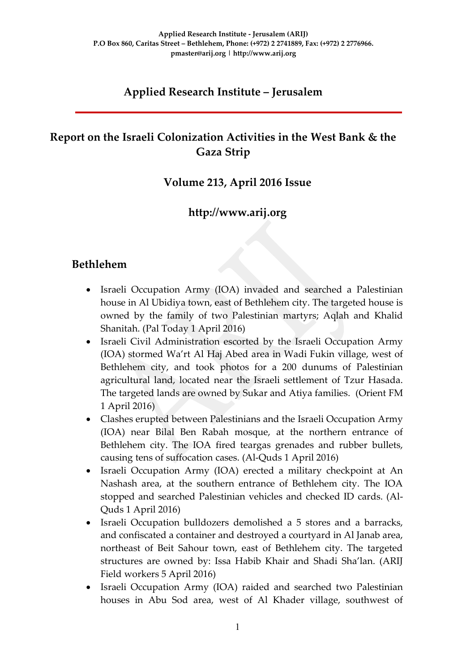# **Applied Research Institute – Jerusalem**

# **Report on the Israeli Colonization Activities in the West Bank & the Gaza Strip**

### **Volume 213, April 2016 Issue**

# **http://www.arij.org**

### **Bethlehem**

- Israeli Occupation Army (IOA) invaded and searched a Palestinian house in Al Ubidiya town, east of Bethlehem city. The targeted house is owned by the family of two Palestinian martyrs; Aqlah and Khalid Shanitah. (Pal Today 1 April 2016)
- Israeli Civil Administration escorted by the Israeli Occupation Army (IOA) stormed Wa'rt Al Haj Abed area in Wadi Fukin village, west of Bethlehem city, and took photos for a 200 dunums of Palestinian agricultural land, located near the Israeli settlement of Tzur Hasada. The targeted lands are owned by Sukar and Atiya families. (Orient FM 1 April 2016)
- Clashes erupted between Palestinians and the Israeli Occupation Army (IOA) near Bilal Ben Rabah mosque, at the northern entrance of Bethlehem city. The IOA fired teargas grenades and rubber bullets, causing tens of suffocation cases. (Al-Quds 1 April 2016)
- Israeli Occupation Army (IOA) erected a military checkpoint at An Nashash area, at the southern entrance of Bethlehem city. The IOA stopped and searched Palestinian vehicles and checked ID cards. (Al-Quds 1 April 2016)
- Israeli Occupation bulldozers demolished a 5 stores and a barracks, and confiscated a container and destroyed a courtyard in Al Janab area, northeast of Beit Sahour town, east of Bethlehem city. The targeted structures are owned by: Issa Habib Khair and Shadi Sha'lan. (ARIJ Field workers 5 April 2016)
- Israeli Occupation Army (IOA) raided and searched two Palestinian houses in Abu Sod area, west of Al Khader village, southwest of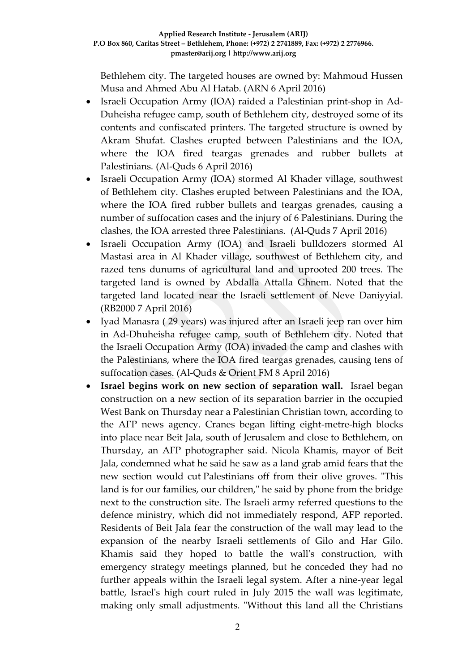Bethlehem city. The targeted houses are owned by: Mahmoud Hussen Musa and Ahmed Abu Al Hatab. (ARN 6 April 2016)

- Israeli Occupation Army (IOA) raided a Palestinian print-shop in Ad-Duheisha refugee camp, south of Bethlehem city, destroyed some of its contents and confiscated printers. The targeted structure is owned by Akram Shufat. Clashes erupted between Palestinians and the IOA, where the IOA fired teargas grenades and rubber bullets at Palestinians. (Al-Quds 6 April 2016)
- Israeli Occupation Army (IOA) stormed Al Khader village, southwest of Bethlehem city. Clashes erupted between Palestinians and the IOA, where the IOA fired rubber bullets and teargas grenades, causing a number of suffocation cases and the injury of 6 Palestinians. During the clashes, the IOA arrested three Palestinians. (Al-Quds 7 April 2016)
- Israeli Occupation Army (IOA) and Israeli bulldozers stormed Al Mastasi area in Al Khader village, southwest of Bethlehem city, and razed tens dunums of agricultural land and uprooted 200 trees. The targeted land is owned by Abdalla Attalla Ghnem. Noted that the targeted land located near the Israeli settlement of Neve Daniyyial. (RB2000 7 April 2016)
- Iyad Manasra ( 29 years) was injured after an Israeli jeep ran over him in Ad-Dhuheisha refugee camp, south of Bethlehem city. Noted that the Israeli Occupation Army (IOA) invaded the camp and clashes with the Palestinians, where the IOA fired teargas grenades, causing tens of suffocation cases. (Al-Quds & Orient FM 8 April 2016)
- **Israel begins work on new section of separation wall.** Israel began construction on a new section of its separation barrier in the occupied West Bank on Thursday near a Palestinian Christian town, according to the AFP news agency. Cranes began lifting eight-metre-high blocks into place near Beit Jala, south of Jerusalem and close to Bethlehem, on Thursday, an AFP photographer said. Nicola Khamis, mayor of Beit Jala, condemned what he said he saw as a land grab amid fears that the new section would cut Palestinians off from their olive groves. "This land is for our families, our children," he said by phone from the bridge next to the construction site. The Israeli army referred questions to the defence ministry, which did not immediately respond, AFP reported. Residents of Beit Jala fear the construction of the wall may lead to the expansion of the nearby Israeli settlements of Gilo and Har Gilo. Khamis said they hoped to battle the wall's construction, with emergency strategy meetings planned, but he conceded they had no further appeals within the Israeli legal system. After a nine-year legal battle, Israel's high court ruled in July 2015 the wall was legitimate, making only small adjustments. "Without this land all the Christians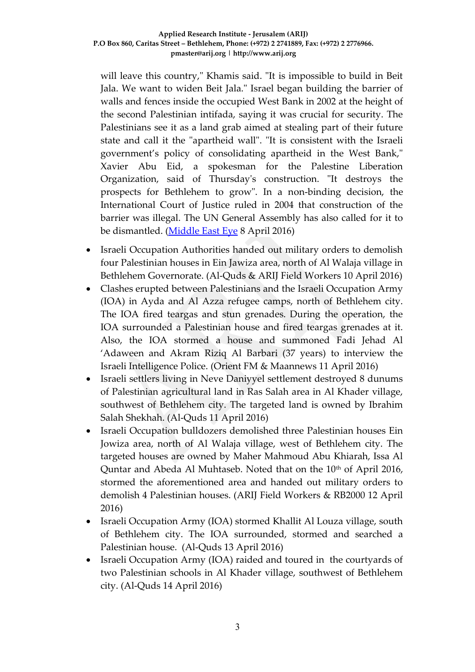will leave this country," Khamis said. "It is impossible to build in Beit Jala. We want to widen Beit Jala." Israel began building the barrier of walls and fences inside the occupied West Bank in 2002 at the height of the second Palestinian intifada, saying it was crucial for security. The Palestinians see it as a land grab aimed at stealing part of their future state and call it the "apartheid wall". "It is consistent with the Israeli government's policy of consolidating apartheid in the West Bank," Xavier Abu Eid, a spokesman for the Palestine Liberation Organization, said of Thursday's construction. "It destroys the prospects for Bethlehem to grow". In a non-binding decision, the International Court of Justice ruled in 2004 that construction of the barrier was illegal. The UN General Assembly has also called for it to be dismantled. [\(Middle East Eye](http://www.middleeasteye.net/news/israel-starts-construction-new-section-separation-wall-1369365365#sthash.gU2CpAUk.dpuf?link_id=1&can_id=b14d9ef5da2e08132fdffe60370aa792&source=email-what-were-reading-israels-separation-barrier-expands&email_referrer=what-were-reading-israels-separation-barrier-expands&email_subject=what-were-reading-israels-separation-barrier-expands) 8 April 2016)

- Israeli Occupation Authorities handed out military orders to demolish four Palestinian houses in Ein Jawiza area, north of Al Walaja village in Bethlehem Governorate. (Al-Quds & ARIJ Field Workers 10 April 2016)
- Clashes erupted between Palestinians and the Israeli Occupation Army (IOA) in Ayda and Al Azza refugee camps, north of Bethlehem city. The IOA fired teargas and stun grenades. During the operation, the IOA surrounded a Palestinian house and fired teargas grenades at it. Also, the IOA stormed a house and summoned Fadi Jehad Al 'Adaween and Akram Riziq Al Barbari (37 years) to interview the Israeli Intelligence Police. (Orient FM & Maannews 11 April 2016)
- Israeli settlers living in Neve Daniyyel settlement destroyed 8 dunums of Palestinian agricultural land in Ras Salah area in Al Khader village, southwest of Bethlehem city. The targeted land is owned by Ibrahim Salah Shekhah. (Al-Quds 11 April 2016)
- Israeli Occupation bulldozers demolished three Palestinian houses Ein Jowiza area, north of Al Walaja village, west of Bethlehem city. The targeted houses are owned by Maher Mahmoud Abu Khiarah, Issa Al Quntar and Abeda Al Muhtaseb. Noted that on the 10<sup>th</sup> of April 2016, stormed the aforementioned area and handed out military orders to demolish 4 Palestinian houses. (ARIJ Field Workers & RB2000 12 April 2016)
- Israeli Occupation Army (IOA) stormed Khallit Al Louza village, south of Bethlehem city. The IOA surrounded, stormed and searched a Palestinian house. (Al-Quds 13 April 2016)
- Israeli Occupation Army (IOA) raided and toured in the courtyards of two Palestinian schools in Al Khader village, southwest of Bethlehem city. (Al-Quds 14 April 2016)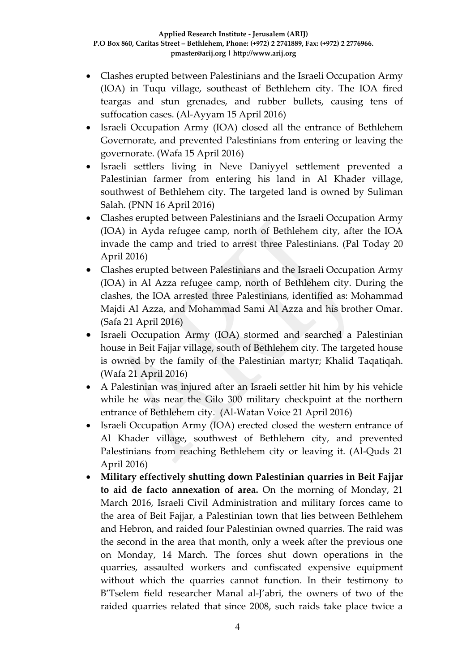- Clashes erupted between Palestinians and the Israeli Occupation Army (IOA) in Tuqu village, southeast of Bethlehem city. The IOA fired teargas and stun grenades, and rubber bullets, causing tens of suffocation cases. (Al-Ayyam 15 April 2016)
- Israeli Occupation Army (IOA) closed all the entrance of Bethlehem Governorate, and prevented Palestinians from entering or leaving the governorate. (Wafa 15 April 2016)
- Israeli settlers living in Neve Daniyyel settlement prevented a Palestinian farmer from entering his land in Al Khader village, southwest of Bethlehem city. The targeted land is owned by Suliman Salah. (PNN 16 April 2016)
- Clashes erupted between Palestinians and the Israeli Occupation Army (IOA) in Ayda refugee camp, north of Bethlehem city, after the IOA invade the camp and tried to arrest three Palestinians. (Pal Today 20 April 2016)
- Clashes erupted between Palestinians and the Israeli Occupation Army (IOA) in Al Azza refugee camp, north of Bethlehem city. During the clashes, the IOA arrested three Palestinians, identified as: Mohammad Majdi Al Azza, and Mohammad Sami Al Azza and his brother Omar. (Safa 21 April 2016)
- Israeli Occupation Army (IOA) stormed and searched a Palestinian house in Beit Fajjar village, south of Bethlehem city. The targeted house is owned by the family of the Palestinian martyr; Khalid Taqatiqah. (Wafa 21 April 2016)
- A Palestinian was injured after an Israeli settler hit him by his vehicle while he was near the Gilo 300 military checkpoint at the northern entrance of Bethlehem city. (Al-Watan Voice 21 April 2016)
- Israeli Occupation Army (IOA) erected closed the western entrance of Al Khader village, southwest of Bethlehem city, and prevented Palestinians from reaching Bethlehem city or leaving it. (Al-Quds 21 April 2016)
- **Military effectively shutting down Palestinian quarries in Beit Fajjar to aid de facto annexation of area.** On the morning of Monday, 21 March 2016, Israeli Civil Administration and military forces came to the area of Beit Fajjar, a Palestinian town that lies between Bethlehem and Hebron, and raided four Palestinian owned quarries. The raid was the second in the area that month, only a week after the previous one on Monday, 14 March. The forces shut down operations in the quarries, assaulted workers and confiscated expensive equipment without which the quarries cannot function. In their testimony to B'Tselem field researcher Manal al-J'abri, the owners of two of the raided quarries related that since 2008, such raids take place twice a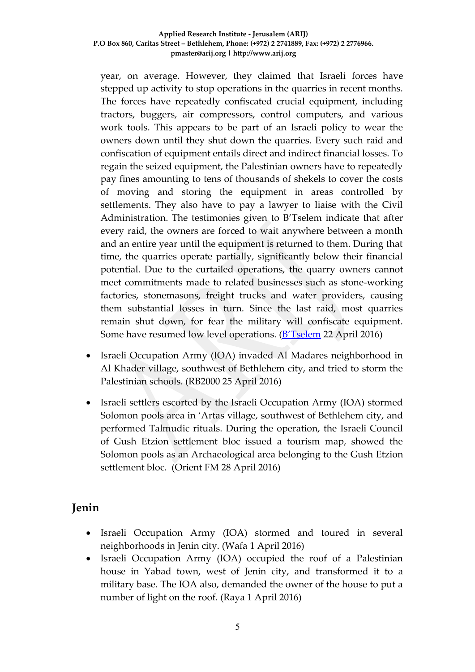year, on average. However, they claimed that Israeli forces have stepped up activity to stop operations in the quarries in recent months. The forces have repeatedly confiscated crucial equipment, including tractors, buggers, air compressors, control computers, and various work tools. This appears to be part of an Israeli policy to wear the owners down until they shut down the quarries. Every such raid and confiscation of equipment entails direct and indirect financial losses. To regain the seized equipment, the Palestinian owners have to repeatedly pay fines amounting to tens of thousands of shekels to cover the costs of moving and storing the equipment in areas controlled by settlements. They also have to pay a lawyer to liaise with the Civil Administration. The testimonies given to B'Tselem indicate that after every raid, the owners are forced to wait anywhere between a month and an entire year until the equipment is returned to them. During that time, the quarries operate partially, significantly below their financial potential. Due to the curtailed operations, the quarry owners cannot meet commitments made to related businesses such as stone-working factories, stonemasons, freight trucks and water providers, causing them substantial losses in turn. Since the last raid, most quarries remain shut down, for fear the military will confiscate equipment. Some have resumed low level operations. (**[B'Tselem](http://www.btselem.org/planning_and_building/20160421_military_shuts_down_palestinian_quarries)** 22 April 2016)

- Israeli Occupation Army (IOA) invaded Al Madares neighborhood in Al Khader village, southwest of Bethlehem city, and tried to storm the Palestinian schools. (RB2000 25 April 2016)
- Israeli settlers escorted by the Israeli Occupation Army (IOA) stormed Solomon pools area in 'Artas village, southwest of Bethlehem city, and performed Talmudic rituals. During the operation, the Israeli Council of Gush Etzion settlement bloc issued a tourism map, showed the Solomon pools as an Archaeological area belonging to the Gush Etzion settlement bloc. (Orient FM 28 April 2016)

### **Jenin**

- Israeli Occupation Army (IOA) stormed and toured in several neighborhoods in Jenin city. (Wafa 1 April 2016)
- Israeli Occupation Army (IOA) occupied the roof of a Palestinian house in Yabad town, west of Jenin city, and transformed it to a military base. The IOA also, demanded the owner of the house to put a number of light on the roof. (Raya 1 April 2016)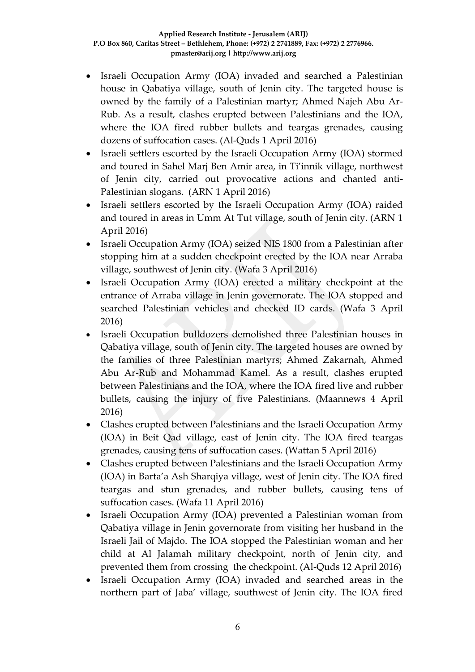- Israeli Occupation Army (IOA) invaded and searched a Palestinian house in Qabatiya village, south of Jenin city. The targeted house is owned by the family of a Palestinian martyr; Ahmed Najeh Abu Ar-Rub. As a result, clashes erupted between Palestinians and the IOA, where the IOA fired rubber bullets and teargas grenades, causing dozens of suffocation cases. (Al-Quds 1 April 2016)
- Israeli settlers escorted by the Israeli Occupation Army (IOA) stormed and toured in Sahel Marj Ben Amir area, in Ti'innik village, northwest of Jenin city, carried out provocative actions and chanted anti-Palestinian slogans. (ARN 1 April 2016)
- Israeli settlers escorted by the Israeli Occupation Army (IOA) raided and toured in areas in Umm At Tut village, south of Jenin city. (ARN 1 April 2016)
- Israeli Occupation Army (IOA) seized NIS 1800 from a Palestinian after stopping him at a sudden checkpoint erected by the IOA near Arraba village, southwest of Jenin city. (Wafa 3 April 2016)
- Israeli Occupation Army (IOA) erected a military checkpoint at the entrance of Arraba village in Jenin governorate. The IOA stopped and searched Palestinian vehicles and checked ID cards. (Wafa 3 April 2016)
- Israeli Occupation bulldozers demolished three Palestinian houses in Qabatiya village, south of Jenin city. The targeted houses are owned by the families of three Palestinian martyrs; Ahmed Zakarnah, Ahmed Abu Ar-Rub and Mohammad Kamel. As a result, clashes erupted between Palestinians and the IOA, where the IOA fired live and rubber bullets, causing the injury of five Palestinians. (Maannews 4 April 2016)
- Clashes erupted between Palestinians and the Israeli Occupation Army (IOA) in Beit Qad village, east of Jenin city. The IOA fired teargas grenades, causing tens of suffocation cases. (Wattan 5 April 2016)
- Clashes erupted between Palestinians and the Israeli Occupation Army (IOA) in Barta'a Ash Sharqiya village, west of Jenin city. The IOA fired teargas and stun grenades, and rubber bullets, causing tens of suffocation cases. (Wafa 11 April 2016)
- Israeli Occupation Army (IOA) prevented a Palestinian woman from Qabatiya village in Jenin governorate from visiting her husband in the Israeli Jail of Majdo. The IOA stopped the Palestinian woman and her child at Al Jalamah military checkpoint, north of Jenin city, and prevented them from crossing the checkpoint. (Al-Quds 12 April 2016)
- Israeli Occupation Army (IOA) invaded and searched areas in the northern part of Jaba' village, southwest of Jenin city. The IOA fired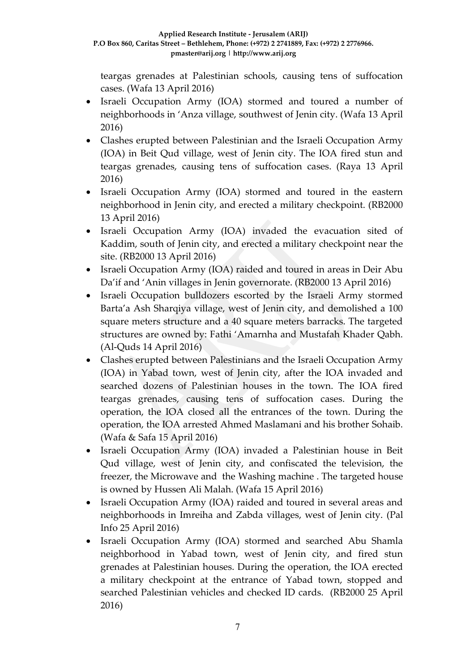teargas grenades at Palestinian schools, causing tens of suffocation cases. (Wafa 13 April 2016)

- Israeli Occupation Army (IOA) stormed and toured a number of neighborhoods in 'Anza village, southwest of Jenin city. (Wafa 13 April 2016)
- Clashes erupted between Palestinian and the Israeli Occupation Army (IOA) in Beit Qud village, west of Jenin city. The IOA fired stun and teargas grenades, causing tens of suffocation cases. (Raya 13 April 2016)
- Israeli Occupation Army (IOA) stormed and toured in the eastern neighborhood in Jenin city, and erected a military checkpoint. (RB2000 13 April 2016)
- Israeli Occupation Army (IOA) invaded the evacuation sited of Kaddim, south of Jenin city, and erected a military checkpoint near the site. (RB2000 13 April 2016)
- Israeli Occupation Army (IOA) raided and toured in areas in Deir Abu Da'if and 'Anin villages in Jenin governorate. (RB2000 13 April 2016)
- Israeli Occupation bulldozers escorted by the Israeli Army stormed Barta'a Ash Sharqiya village, west of Jenin city, and demolished a 100 square meters structure and a 40 square meters barracks. The targeted structures are owned by: Fathi 'Amarnha and Mustafah Khader Qabh. (Al-Quds 14 April 2016)
- Clashes erupted between Palestinians and the Israeli Occupation Army (IOA) in Yabad town, west of Jenin city, after the IOA invaded and searched dozens of Palestinian houses in the town. The IOA fired teargas grenades, causing tens of suffocation cases. During the operation, the IOA closed all the entrances of the town. During the operation, the IOA arrested Ahmed Maslamani and his brother Sohaib. (Wafa & Safa 15 April 2016)
- Israeli Occupation Army (IOA) invaded a Palestinian house in Beit Qud village, west of Jenin city, and confiscated the television, the freezer, the Microwave and the Washing machine . The targeted house is owned by Hussen Ali Malah. (Wafa 15 April 2016)
- Israeli Occupation Army (IOA) raided and toured in several areas and neighborhoods in Imreiha and Zabda villages, west of Jenin city. (Pal Info 25 April 2016)
- Israeli Occupation Army (IOA) stormed and searched Abu Shamla neighborhood in Yabad town, west of Jenin city, and fired stun grenades at Palestinian houses. During the operation, the IOA erected a military checkpoint at the entrance of Yabad town, stopped and searched Palestinian vehicles and checked ID cards. (RB2000 25 April 2016)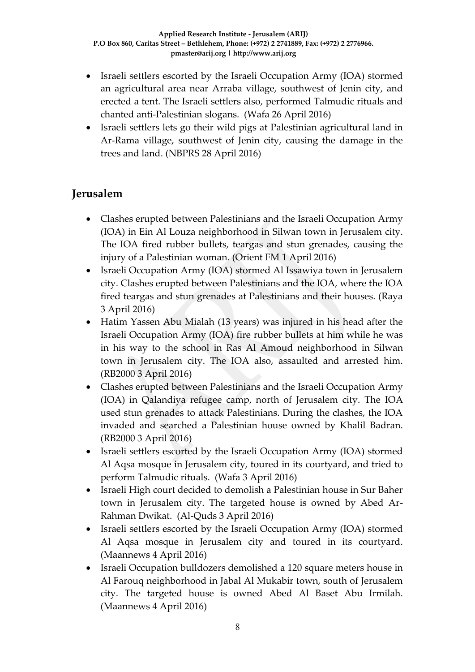- Israeli settlers escorted by the Israeli Occupation Army (IOA) stormed an agricultural area near Arraba village, southwest of Jenin city, and erected a tent. The Israeli settlers also, performed Talmudic rituals and chanted anti-Palestinian slogans. (Wafa 26 April 2016)
- Israeli settlers lets go their wild pigs at Palestinian agricultural land in Ar-Rama village, southwest of Jenin city, causing the damage in the trees and land. (NBPRS 28 April 2016)

# **Jerusalem**

- Clashes erupted between Palestinians and the Israeli Occupation Army (IOA) in Ein Al Louza neighborhood in Silwan town in Jerusalem city. The IOA fired rubber bullets, teargas and stun grenades, causing the injury of a Palestinian woman. (Orient FM 1 April 2016)
- Israeli Occupation Army (IOA) stormed Al Issawiya town in Jerusalem city. Clashes erupted between Palestinians and the IOA, where the IOA fired teargas and stun grenades at Palestinians and their houses. (Raya 3 April 2016)
- Hatim Yassen Abu Mialah (13 years) was injured in his head after the Israeli Occupation Army (IOA) fire rubber bullets at him while he was in his way to the school in Ras Al Amoud neighborhood in Silwan town in Jerusalem city. The IOA also, assaulted and arrested him. (RB2000 3 April 2016)
- Clashes erupted between Palestinians and the Israeli Occupation Army (IOA) in Qalandiya refugee camp, north of Jerusalem city. The IOA used stun grenades to attack Palestinians. During the clashes, the IOA invaded and searched a Palestinian house owned by Khalil Badran. (RB2000 3 April 2016)
- Israeli settlers escorted by the Israeli Occupation Army (IOA) stormed Al Aqsa mosque in Jerusalem city, toured in its courtyard, and tried to perform Talmudic rituals. (Wafa 3 April 2016)
- Israeli High court decided to demolish a Palestinian house in Sur Baher town in Jerusalem city. The targeted house is owned by Abed Ar-Rahman Dwikat. (Al-Quds 3 April 2016)
- Israeli settlers escorted by the Israeli Occupation Army (IOA) stormed Al Aqsa mosque in Jerusalem city and toured in its courtyard. (Maannews 4 April 2016)
- Israeli Occupation bulldozers demolished a 120 square meters house in Al Farouq neighborhood in Jabal Al Mukabir town, south of Jerusalem city. The targeted house is owned Abed Al Baset Abu Irmilah. (Maannews 4 April 2016)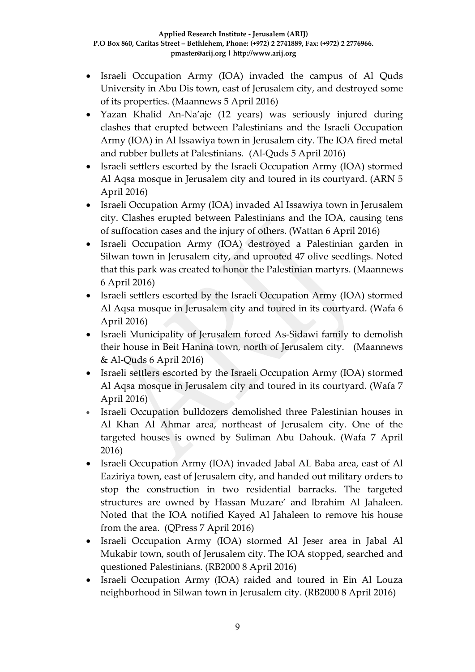- Israeli Occupation Army (IOA) invaded the campus of Al Quds University in Abu Dis town, east of Jerusalem city, and destroyed some of its properties. (Maannews 5 April 2016)
- Yazan Khalid An-Na'aje (12 years) was seriously injured during clashes that erupted between Palestinians and the Israeli Occupation Army (IOA) in Al Issawiya town in Jerusalem city. The IOA fired metal and rubber bullets at Palestinians. (Al-Quds 5 April 2016)
- Israeli settlers escorted by the Israeli Occupation Army (IOA) stormed Al Aqsa mosque in Jerusalem city and toured in its courtyard. (ARN 5 April 2016)
- Israeli Occupation Army (IOA) invaded Al Issawiya town in Jerusalem city. Clashes erupted between Palestinians and the IOA, causing tens of suffocation cases and the injury of others. (Wattan 6 April 2016)
- Israeli Occupation Army (IOA) destroyed a Palestinian garden in Silwan town in Jerusalem city, and uprooted 47 olive seedlings. Noted that this park was created to honor the Palestinian martyrs. (Maannews 6 April 2016)
- Israeli settlers escorted by the Israeli Occupation Army (IOA) stormed Al Aqsa mosque in Jerusalem city and toured in its courtyard. (Wafa 6 April 2016)
- Israeli Municipality of Jerusalem forced As-Sidawi family to demolish their house in Beit Hanina town, north of Jerusalem city. (Maannews & Al-Quds 6 April 2016)
- Israeli settlers escorted by the Israeli Occupation Army (IOA) stormed Al Aqsa mosque in Jerusalem city and toured in its courtyard. (Wafa 7 April 2016)
- Israeli Occupation bulldozers demolished three Palestinian houses in Al Khan Al Ahmar area, northeast of Jerusalem city. One of the targeted houses is owned by Suliman Abu Dahouk. (Wafa 7 April 2016)
- Israeli Occupation Army (IOA) invaded Jabal AL Baba area, east of Al Eaziriya town, east of Jerusalem city, and handed out military orders to stop the construction in two residential barracks. The targeted structures are owned by Hassan Muzare' and Ibrahim Al Jahaleen. Noted that the IOA notified Kayed Al Jahaleen to remove his house from the area. (QPress 7 April 2016)
- Israeli Occupation Army (IOA) stormed Al Jeser area in Jabal Al Mukabir town, south of Jerusalem city. The IOA stopped, searched and questioned Palestinians. (RB2000 8 April 2016)
- Israeli Occupation Army (IOA) raided and toured in Ein Al Louza neighborhood in Silwan town in Jerusalem city. (RB2000 8 April 2016)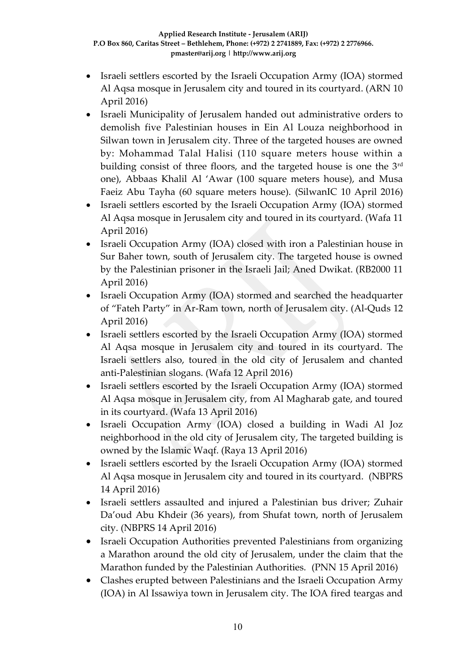- Israeli settlers escorted by the Israeli Occupation Army (IOA) stormed Al Aqsa mosque in Jerusalem city and toured in its courtyard. (ARN 10 April 2016)
- Israeli Municipality of Jerusalem handed out administrative orders to demolish five Palestinian houses in Ein Al Louza neighborhood in Silwan town in Jerusalem city. Three of the targeted houses are owned by: Mohammad Talal Halisi (110 square meters house within a building consist of three floors, and the targeted house is one the 3rd one), Abbaas Khalil Al 'Awar (100 square meters house), and Musa Faeiz Abu Tayha (60 square meters house). (SilwanIC 10 April 2016)
- Israeli settlers escorted by the Israeli Occupation Army (IOA) stormed Al Aqsa mosque in Jerusalem city and toured in its courtyard. (Wafa 11 April 2016)
- Israeli Occupation Army (IOA) closed with iron a Palestinian house in Sur Baher town, south of Jerusalem city. The targeted house is owned by the Palestinian prisoner in the Israeli Jail; Aned Dwikat. (RB2000 11 April 2016)
- Israeli Occupation Army (IOA) stormed and searched the headquarter of "Fateh Party" in Ar-Ram town, north of Jerusalem city. (Al-Quds 12 April 2016)
- Israeli settlers escorted by the Israeli Occupation Army (IOA) stormed Al Aqsa mosque in Jerusalem city and toured in its courtyard. The Israeli settlers also, toured in the old city of Jerusalem and chanted anti-Palestinian slogans. (Wafa 12 April 2016)
- Israeli settlers escorted by the Israeli Occupation Army (IOA) stormed Al Aqsa mosque in Jerusalem city, from Al Magharab gate, and toured in its courtyard. (Wafa 13 April 2016)
- Israeli Occupation Army (IOA) closed a building in Wadi Al Joz neighborhood in the old city of Jerusalem city, The targeted building is owned by the Islamic Waqf. (Raya 13 April 2016)
- Israeli settlers escorted by the Israeli Occupation Army (IOA) stormed Al Aqsa mosque in Jerusalem city and toured in its courtyard. (NBPRS 14 April 2016)
- Israeli settlers assaulted and injured a Palestinian bus driver; Zuhair Da'oud Abu Khdeir (36 years), from Shufat town, north of Jerusalem city. (NBPRS 14 April 2016)
- Israeli Occupation Authorities prevented Palestinians from organizing a Marathon around the old city of Jerusalem, under the claim that the Marathon funded by the Palestinian Authorities.(PNN 15 April 2016)
- Clashes erupted between Palestinians and the Israeli Occupation Army (IOA) in Al Issawiya town in Jerusalem city. The IOA fired teargas and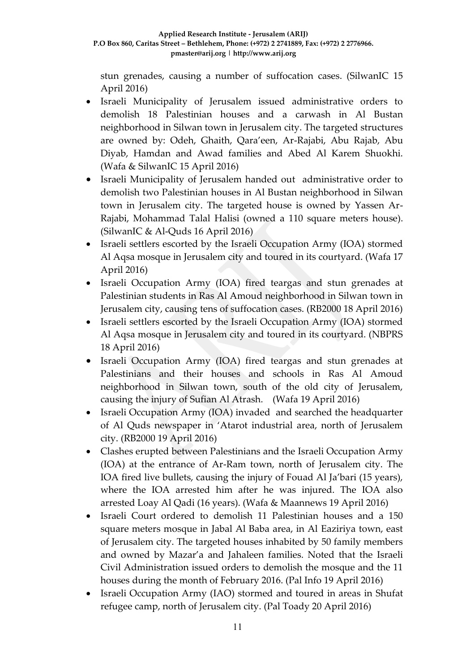stun grenades, causing a number of suffocation cases. (SilwanIC 15 April 2016)

- Israeli Municipality of Jerusalem issued administrative orders to demolish 18 Palestinian houses and a carwash in Al Bustan neighborhood in Silwan town in Jerusalem city. The targeted structures are owned by: Odeh, Ghaith, Qara'een, Ar-Rajabi, Abu Rajab, Abu Diyab, Hamdan and Awad families and Abed Al Karem Shuokhi. (Wafa & SilwanIC 15 April 2016)
- Israeli Municipality of Jerusalem handed out administrative order to demolish two Palestinian houses in Al Bustan neighborhood in Silwan town in Jerusalem city. The targeted house is owned by Yassen Ar-Rajabi, Mohammad Talal Halisi (owned a 110 square meters house). (SilwanIC & Al-Quds 16 April 2016)
- Israeli settlers escorted by the Israeli Occupation Army (IOA) stormed Al Aqsa mosque in Jerusalem city and toured in its courtyard. (Wafa 17 April 2016)
- Israeli Occupation Army (IOA) fired teargas and stun grenades at Palestinian students in Ras Al Amoud neighborhood in Silwan town in Jerusalem city, causing tens of suffocation cases. (RB2000 18 April 2016)
- Israeli settlers escorted by the Israeli Occupation Army (IOA) stormed Al Aqsa mosque in Jerusalem city and toured in its courtyard. (NBPRS 18 April 2016)
- Israeli Occupation Army (IOA) fired teargas and stun grenades at Palestinians and their houses and schools in Ras Al Amoud neighborhood in Silwan town, south of the old city of Jerusalem, causing the injury of Sufian Al Atrash. (Wafa 19 April 2016)
- Israeli Occupation Army (IOA) invaded and searched the headquarter of Al Quds newspaper in 'Atarot industrial area, north of Jerusalem city. (RB2000 19 April 2016)
- Clashes erupted between Palestinians and the Israeli Occupation Army (IOA) at the entrance of Ar-Ram town, north of Jerusalem city. The IOA fired live bullets, causing the injury of Fouad Al Ja'bari (15 years), where the IOA arrested him after he was injured. The IOA also arrested Loay Al Qadi (16 years). (Wafa & Maannews 19 April 2016)
- Israeli Court ordered to demolish 11 Palestinian houses and a 150 square meters mosque in Jabal Al Baba area, in Al Eaziriya town, east of Jerusalem city. The targeted houses inhabited by 50 family members and owned by Mazar'a and Jahaleen families. Noted that the Israeli Civil Administration issued orders to demolish the mosque and the 11 houses during the month of February 2016. (Pal Info 19 April 2016)
- Israeli Occupation Army (IAO) stormed and toured in areas in Shufat refugee camp, north of Jerusalem city. (Pal Toady 20 April 2016)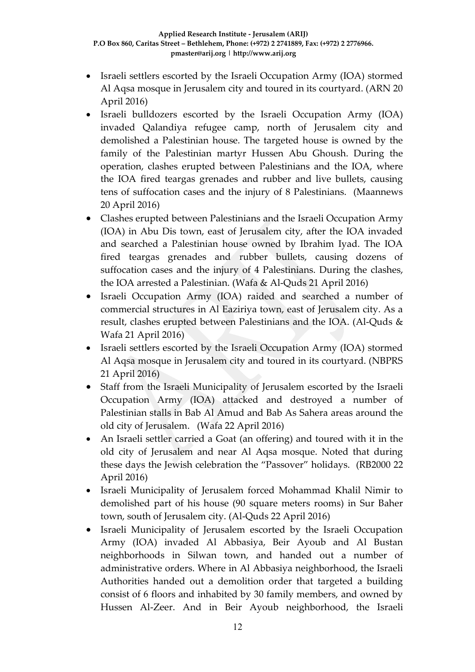- Israeli settlers escorted by the Israeli Occupation Army (IOA) stormed Al Aqsa mosque in Jerusalem city and toured in its courtyard. (ARN 20 April 2016)
- Israeli bulldozers escorted by the Israeli Occupation Army (IOA) invaded Qalandiya refugee camp, north of Jerusalem city and demolished a Palestinian house. The targeted house is owned by the family of the Palestinian martyr Hussen Abu Ghoush. During the operation, clashes erupted between Palestinians and the IOA, where the IOA fired teargas grenades and rubber and live bullets, causing tens of suffocation cases and the injury of 8 Palestinians. (Maannews 20 April 2016)
- Clashes erupted between Palestinians and the Israeli Occupation Army (IOA) in Abu Dis town, east of Jerusalem city, after the IOA invaded and searched a Palestinian house owned by Ibrahim Iyad. The IOA fired teargas grenades and rubber bullets, causing dozens of suffocation cases and the injury of 4 Palestinians. During the clashes, the IOA arrested a Palestinian. (Wafa & Al-Quds 21 April 2016)
- Israeli Occupation Army (IOA) raided and searched a number of commercial structures in Al Eaziriya town, east of Jerusalem city. As a result, clashes erupted between Palestinians and the IOA. (Al-Quds & Wafa 21 April 2016)
- Israeli settlers escorted by the Israeli Occupation Army (IOA) stormed Al Aqsa mosque in Jerusalem city and toured in its courtyard. (NBPRS 21 April 2016)
- Staff from the Israeli Municipality of Jerusalem escorted by the Israeli Occupation Army (IOA) attacked and destroyed a number of Palestinian stalls in Bab Al Amud and Bab As Sahera areas around the old city of Jerusalem. (Wafa 22 April 2016)
- An Israeli settler carried a Goat (an offering) and toured with it in the old city of Jerusalem and near Al Aqsa mosque. Noted that during these days the Jewish celebration the "Passover" holidays. (RB2000 22 April 2016)
- Israeli Municipality of Jerusalem forced Mohammad Khalil Nimir to demolished part of his house (90 square meters rooms) in Sur Baher town, south of Jerusalem city. (Al-Quds 22 April 2016)
- Israeli Municipality of Jerusalem escorted by the Israeli Occupation Army (IOA) invaded Al Abbasiya, Beir Ayoub and Al Bustan neighborhoods in Silwan town, and handed out a number of administrative orders. Where in Al Abbasiya neighborhood, the Israeli Authorities handed out a demolition order that targeted a building consist of 6 floors and inhabited by 30 family members, and owned by Hussen Al-Zeer. And in Beir Ayoub neighborhood, the Israeli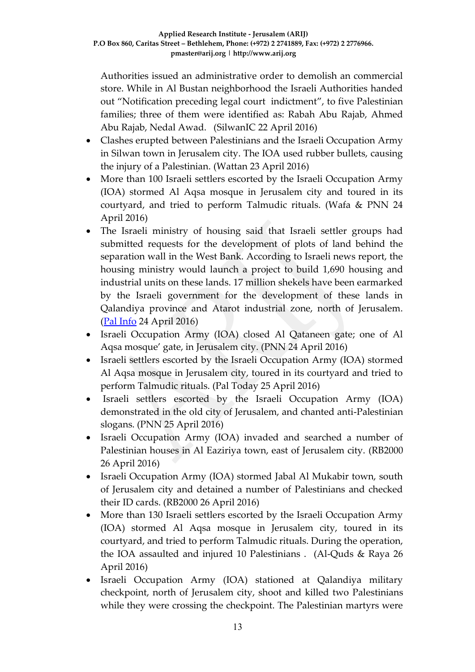Authorities issued an administrative order to demolish an commercial store. While in Al Bustan neighborhood the Israeli Authorities handed out "Notification preceding legal court indictment", to five Palestinian families; three of them were identified as: Rabah Abu Rajab, Ahmed Abu Rajab, Nedal Awad. (SilwanIC 22 April 2016)

- Clashes erupted between Palestinians and the Israeli Occupation Army in Silwan town in Jerusalem city. The IOA used rubber bullets, causing the injury of a Palestinian. (Wattan 23 April 2016)
- More than 100 Israeli settlers escorted by the Israeli Occupation Army (IOA) stormed Al Aqsa mosque in Jerusalem city and toured in its courtyard, and tried to perform Talmudic rituals. (Wafa & PNN 24 April 2016)
- The Israeli ministry of housing said that Israeli settler groups had submitted requests for the development of plots of land behind the separation wall in the West Bank. According to Israeli news report, the housing ministry would launch a project to build 1,690 housing and industrial units on these lands. 17 million shekels have been earmarked by the Israeli government for the development of these lands in Qalandiya province and Atarot industrial zone, north of Jerusalem. [\(Pal Info](http://english.palinfo.com/site/pages/details.aspx?itemid=78185) 24 April 2016)
- Israeli Occupation Army (IOA) closed Al Qataneen gate; one of Al Aqsa mosque' gate, in Jerusalem city. (PNN 24 April 2016)
- Israeli settlers escorted by the Israeli Occupation Army (IOA) stormed Al Aqsa mosque in Jerusalem city, toured in its courtyard and tried to perform Talmudic rituals. (Pal Today 25 April 2016)
- Israeli settlers escorted by the Israeli Occupation Army (IOA) demonstrated in the old city of Jerusalem, and chanted anti-Palestinian slogans. (PNN 25 April 2016)
- Israeli Occupation Army (IOA) invaded and searched a number of Palestinian houses in Al Eaziriya town, east of Jerusalem city. (RB2000 26 April 2016)
- Israeli Occupation Army (IOA) stormed Jabal Al Mukabir town, south of Jerusalem city and detained a number of Palestinians and checked their ID cards. (RB2000 26 April 2016)
- More than 130 Israeli settlers escorted by the Israeli Occupation Army (IOA) stormed Al Aqsa mosque in Jerusalem city, toured in its courtyard, and tried to perform Talmudic rituals. During the operation, the IOA assaulted and injured 10 Palestinians . (Al-Quds & Raya 26 April 2016)
- Israeli Occupation Army (IOA) stationed at Qalandiya military checkpoint, north of Jerusalem city, shoot and killed two Palestinians while they were crossing the checkpoint. The Palestinian martyrs were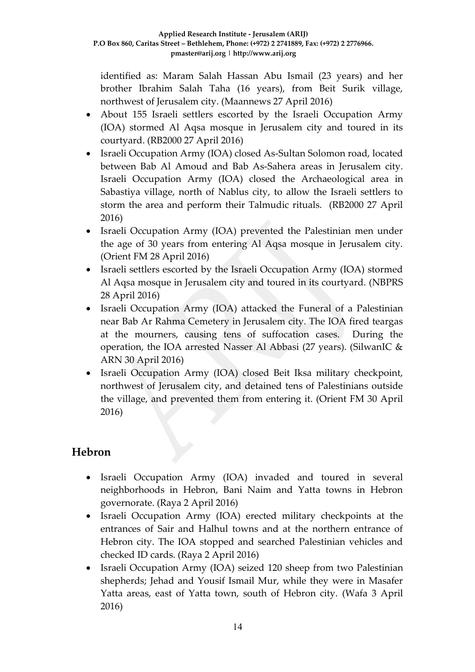identified as: Maram Salah Hassan Abu Ismail (23 years) and her brother Ibrahim Salah Taha (16 years), from Beit Surik village, northwest of Jerusalem city. (Maannews 27 April 2016)

- About 155 Israeli settlers escorted by the Israeli Occupation Army (IOA) stormed Al Aqsa mosque in Jerusalem city and toured in its courtyard. (RB2000 27 April 2016)
- Israeli Occupation Army (IOA) closed As-Sultan Solomon road, located between Bab Al Amoud and Bab As-Sahera areas in Jerusalem city. Israeli Occupation Army (IOA) closed the Archaeological area in Sabastiya village, north of Nablus city, to allow the Israeli settlers to storm the area and perform their Talmudic rituals. (RB2000 27 April 2016)
- Israeli Occupation Army (IOA) prevented the Palestinian men under the age of 30 years from entering Al Aqsa mosque in Jerusalem city. (Orient FM 28 April 2016)
- Israeli settlers escorted by the Israeli Occupation Army (IOA) stormed Al Aqsa mosque in Jerusalem city and toured in its courtyard. (NBPRS 28 April 2016)
- Israeli Occupation Army (IOA) attacked the Funeral of a Palestinian near Bab Ar Rahma Cemetery in Jerusalem city. The IOA fired teargas at the mourners, causing tens of suffocation cases. During the operation, the IOA arrested Nasser Al Abbasi (27 years). (SilwanIC & ARN 30 April 2016)
- Israeli Occupation Army (IOA) closed Beit Iksa military checkpoint, northwest of Jerusalem city, and detained tens of Palestinians outside the village, and prevented them from entering it. (Orient FM 30 April 2016)

# **Hebron**

- Israeli Occupation Army (IOA) invaded and toured in several neighborhoods in Hebron, Bani Naim and Yatta towns in Hebron governorate. (Raya 2 April 2016)
- Israeli Occupation Army (IOA) erected military checkpoints at the entrances of Sair and Halhul towns and at the northern entrance of Hebron city. The IOA stopped and searched Palestinian vehicles and checked ID cards. (Raya 2 April 2016)
- Israeli Occupation Army (IOA) seized 120 sheep from two Palestinian shepherds; Jehad and Yousif Ismail Mur, while they were in Masafer Yatta areas, east of Yatta town, south of Hebron city. (Wafa 3 April 2016)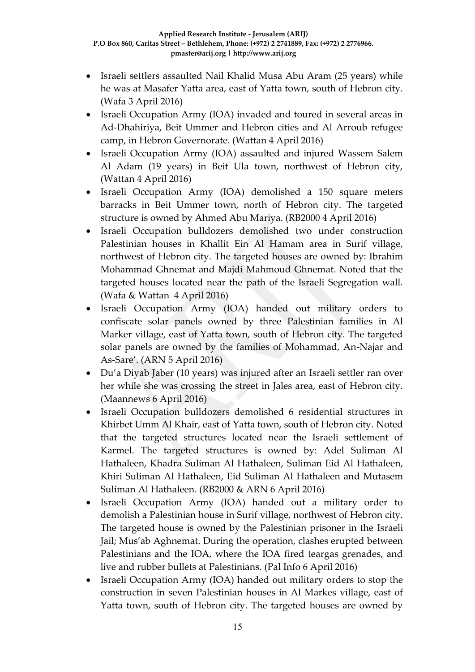- Israeli settlers assaulted Nail Khalid Musa Abu Aram (25 years) while he was at Masafer Yatta area, east of Yatta town, south of Hebron city. (Wafa 3 April 2016)
- Israeli Occupation Army (IOA) invaded and toured in several areas in Ad-Dhahiriya, Beit Ummer and Hebron cities and Al Arroub refugee camp, in Hebron Governorate. (Wattan 4 April 2016)
- Israeli Occupation Army (IOA) assaulted and injured Wassem Salem Al Adam (19 years) in Beit Ula town, northwest of Hebron city, (Wattan 4 April 2016)
- Israeli Occupation Army (IOA) demolished a 150 square meters barracks in Beit Ummer town, north of Hebron city. The targeted structure is owned by Ahmed Abu Mariya. (RB2000 4 April 2016)
- Israeli Occupation bulldozers demolished two under construction Palestinian houses in Khallit Ein Al Hamam area in Surif village, northwest of Hebron city. The targeted houses are owned by: Ibrahim Mohammad Ghnemat and Majdi Mahmoud Ghnemat. Noted that the targeted houses located near the path of the Israeli Segregation wall. (Wafa & Wattan 4 April 2016)
- Israeli Occupation Army (IOA) handed out military orders to confiscate solar panels owned by three Palestinian families in Al Marker village, east of Yatta town, south of Hebron city. The targeted solar panels are owned by the families of Mohammad, An-Najar and As-Sare'. (ARN 5 April 2016)
- Du'a Diyab Jaber (10 years) was injured after an Israeli settler ran over her while she was crossing the street in Jales area, east of Hebron city. (Maannews 6 April 2016)
- Israeli Occupation bulldozers demolished 6 residential structures in Khirbet Umm Al Khair, east of Yatta town, south of Hebron city. Noted that the targeted structures located near the Israeli settlement of Karmel. The targeted structures is owned by: Adel Suliman Al Hathaleen, Khadra Suliman Al Hathaleen, Suliman Eid Al Hathaleen, Khiri Suliman Al Hathaleen, Eid Suliman Al Hathaleen and Mutasem Suliman Al Hathaleen. (RB2000 & ARN 6 April 2016)
- Israeli Occupation Army (IOA) handed out a military order to demolish a Palestinian house in Surif village, northwest of Hebron city. The targeted house is owned by the Palestinian prisoner in the Israeli Jail; Mus'ab Aghnemat. During the operation, clashes erupted between Palestinians and the IOA, where the IOA fired teargas grenades, and live and rubber bullets at Palestinians. (Pal Info 6 April 2016)
- Israeli Occupation Army (IOA) handed out military orders to stop the construction in seven Palestinian houses in Al Markes village, east of Yatta town, south of Hebron city. The targeted houses are owned by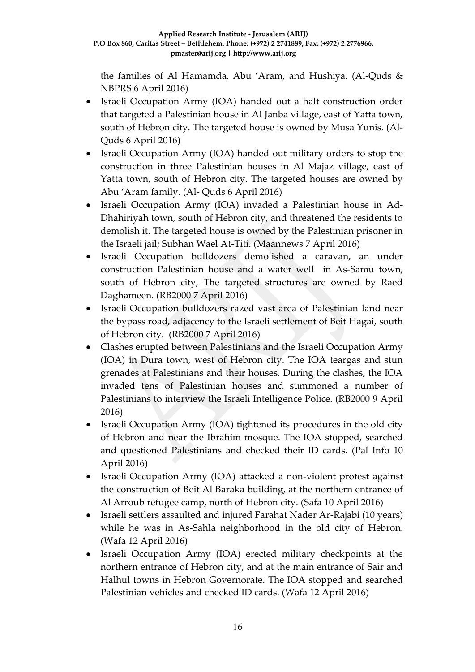the families of Al Hamamda, Abu 'Aram, and Hushiya. (Al-Quds & NBPRS 6 April 2016)

- Israeli Occupation Army (IOA) handed out a halt construction order that targeted a Palestinian house in Al Janba village, east of Yatta town, south of Hebron city. The targeted house is owned by Musa Yunis. (Al-Quds 6 April 2016)
- Israeli Occupation Army (IOA) handed out military orders to stop the construction in three Palestinian houses in Al Majaz village, east of Yatta town, south of Hebron city. The targeted houses are owned by Abu 'Aram family. (Al- Quds 6 April 2016)
- Israeli Occupation Army (IOA) invaded a Palestinian house in Ad-Dhahiriyah town, south of Hebron city, and threatened the residents to demolish it. The targeted house is owned by the Palestinian prisoner in the Israeli jail; Subhan Wael At-Titi. (Maannews 7 April 2016)
- Israeli Occupation bulldozers demolished a caravan, an under construction Palestinian house and a water well in As-Samu town, south of Hebron city, The targeted structures are owned by Raed Daghameen. (RB2000 7 April 2016)
- Israeli Occupation bulldozers razed vast area of Palestinian land near the bypass road, adjacency to the Israeli settlement of Beit Hagai, south of Hebron city. (RB2000 7 April 2016)
- Clashes erupted between Palestinians and the Israeli Occupation Army (IOA) in Dura town, west of Hebron city. The IOA teargas and stun grenades at Palestinians and their houses. During the clashes, the IOA invaded tens of Palestinian houses and summoned a number of Palestinians to interview the Israeli Intelligence Police. (RB2000 9 April 2016)
- Israeli Occupation Army (IOA) tightened its procedures in the old city of Hebron and near the Ibrahim mosque. The IOA stopped, searched and questioned Palestinians and checked their ID cards. (Pal Info 10 April 2016)
- Israeli Occupation Army (IOA) attacked a non-violent protest against the construction of Beit Al Baraka building, at the northern entrance of Al Arroub refugee camp, north of Hebron city. (Safa 10 April 2016)
- Israeli settlers assaulted and injured Farahat Nader Ar-Rajabi (10 years) while he was in As-Sahla neighborhood in the old city of Hebron. (Wafa 12 April 2016)
- Israeli Occupation Army (IOA) erected military checkpoints at the northern entrance of Hebron city, and at the main entrance of Sair and Halhul towns in Hebron Governorate. The IOA stopped and searched Palestinian vehicles and checked ID cards. (Wafa 12 April 2016)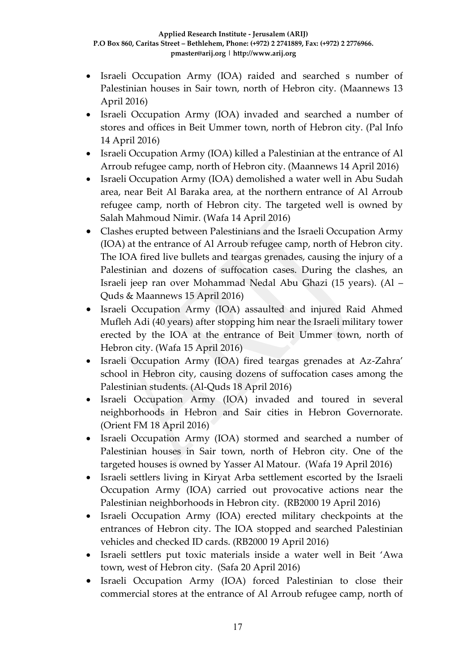- Israeli Occupation Army (IOA) raided and searched s number of Palestinian houses in Sair town, north of Hebron city. (Maannews 13 April 2016)
- Israeli Occupation Army (IOA) invaded and searched a number of stores and offices in Beit Ummer town, north of Hebron city. (Pal Info 14 April 2016)
- Israeli Occupation Army (IOA) killed a Palestinian at the entrance of Al Arroub refugee camp, north of Hebron city. (Maannews 14 April 2016)
- Israeli Occupation Army (IOA) demolished a water well in Abu Sudah area, near Beit Al Baraka area, at the northern entrance of Al Arroub refugee camp, north of Hebron city. The targeted well is owned by Salah Mahmoud Nimir. (Wafa 14 April 2016)
- Clashes erupted between Palestinians and the Israeli Occupation Army (IOA) at the entrance of Al Arroub refugee camp, north of Hebron city. The IOA fired live bullets and teargas grenades, causing the injury of a Palestinian and dozens of suffocation cases. During the clashes, an Israeli jeep ran over Mohammad Nedal Abu Ghazi (15 years). (Al – Quds & Maannews 15 April 2016)
- Israeli Occupation Army (IOA) assaulted and injured Raid Ahmed Mufleh Adi (40 years) after stopping him near the Israeli military tower erected by the IOA at the entrance of Beit Ummer town, north of Hebron city. (Wafa 15 April 2016)
- Israeli Occupation Army (IOA) fired teargas grenades at Az-Zahra' school in Hebron city, causing dozens of suffocation cases among the Palestinian students. (Al-Quds 18 April 2016)
- Israeli Occupation Army (IOA) invaded and toured in several neighborhoods in Hebron and Sair cities in Hebron Governorate. (Orient FM 18 April 2016)
- Israeli Occupation Army (IOA) stormed and searched a number of Palestinian houses in Sair town, north of Hebron city. One of the targeted houses is owned by Yasser Al Matour. (Wafa 19 April 2016)
- Israeli settlers living in Kiryat Arba settlement escorted by the Israeli Occupation Army (IOA) carried out provocative actions near the Palestinian neighborhoods in Hebron city. (RB2000 19 April 2016)
- Israeli Occupation Army (IOA) erected military checkpoints at the entrances of Hebron city. The IOA stopped and searched Palestinian vehicles and checked ID cards. (RB2000 19 April 2016)
- Israeli settlers put toxic materials inside a water well in Beit 'Awa town, west of Hebron city. (Safa 20 April 2016)
- Israeli Occupation Army (IOA) forced Palestinian to close their commercial stores at the entrance of Al Arroub refugee camp, north of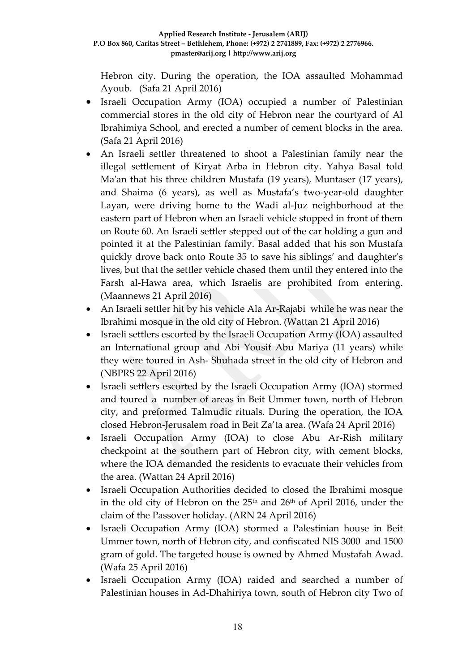Hebron city. During the operation, the IOA assaulted Mohammad Ayoub. (Safa 21 April 2016)

- Israeli Occupation Army (IOA) occupied a number of Palestinian commercial stores in the old city of Hebron near the courtyard of Al Ibrahimiya School, and erected a number of cement blocks in the area. (Safa 21 April 2016)
- An Israeli settler threatened to shoot a Palestinian family near the illegal settlement of Kiryat Arba in Hebron city. Yahya Basal told Ma'an that his three children Mustafa (19 years), Muntaser (17 years), and Shaima (6 years), as well as Mustafa's two-year-old daughter Layan, were driving home to the Wadi al-Juz neighborhood at the eastern part of Hebron when an Israeli vehicle stopped in front of them on Route 60. An Israeli settler stepped out of the car holding a gun and pointed it at the Palestinian family. Basal added that his son Mustafa quickly drove back onto Route 35 to save his siblings' and daughter's lives, but that the settler vehicle chased them until they entered into the Farsh al-Hawa area, which Israelis are prohibited from entering. (Maannews 21 April 2016)
- An Israeli settler hit by his vehicle Ala Ar-Rajabi while he was near the Ibrahimi mosque in the old city of Hebron. (Wattan 21 April 2016)
- Israeli settlers escorted by the Israeli Occupation Army (IOA) assaulted an International group and Abi Yousif Abu Mariya (11 years) while they were toured in Ash- Shuhada street in the old city of Hebron and (NBPRS 22 April 2016)
- Israeli settlers escorted by the Israeli Occupation Army (IOA) stormed and toured a number of areas in Beit Ummer town, north of Hebron city, and preformed Talmudic rituals. During the operation, the IOA closed Hebron-Jerusalem road in Beit Za'ta area. (Wafa 24 April 2016)
- Israeli Occupation Army (IOA) to close Abu Ar-Rish military checkpoint at the southern part of Hebron city, with cement blocks, where the IOA demanded the residents to evacuate their vehicles from the area. (Wattan 24 April 2016)
- Israeli Occupation Authorities decided to closed the Ibrahimi mosque in the old city of Hebron on the 25<sup>th</sup> and 26<sup>th</sup> of April 2016, under the claim of the Passover holiday. (ARN 24 April 2016)
- Israeli Occupation Army (IOA) stormed a Palestinian house in Beit Ummer town, north of Hebron city, and confiscated NIS 3000 and 1500 gram of gold. The targeted house is owned by Ahmed Mustafah Awad. (Wafa 25 April 2016)
- Israeli Occupation Army (IOA) raided and searched a number of Palestinian houses in Ad-Dhahiriya town, south of Hebron city Two of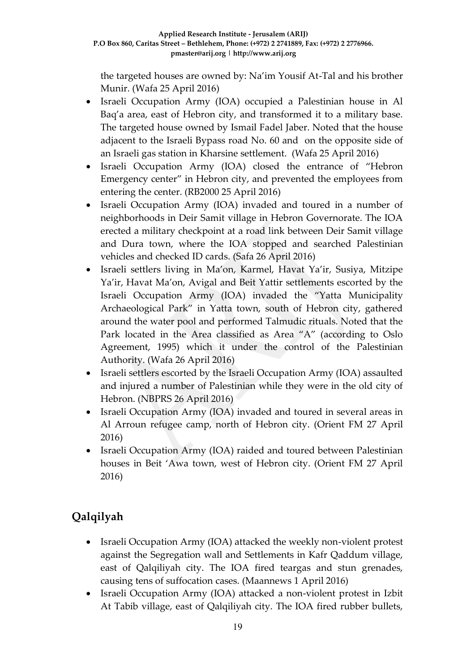the targeted houses are owned by: Na'im Yousif At-Tal and his brother Munir. (Wafa 25 April 2016)

- Israeli Occupation Army (IOA) occupied a Palestinian house in Al Baq'a area, east of Hebron city, and transformed it to a military base. The targeted house owned by Ismail Fadel Jaber. Noted that the house adjacent to the Israeli Bypass road No. 60 and on the opposite side of an Israeli gas station in Kharsine settlement. (Wafa 25 April 2016)
- Israeli Occupation Army (IOA) closed the entrance of "Hebron Emergency center" in Hebron city, and prevented the employees from entering the center. (RB2000 25 April 2016)
- Israeli Occupation Army (IOA) invaded and toured in a number of neighborhoods in Deir Samit village in Hebron Governorate. The IOA erected a military checkpoint at a road link between Deir Samit village and Dura town, where the IOA stopped and searched Palestinian vehicles and checked ID cards. (Safa 26 April 2016)
- Israeli settlers living in Ma'on, Karmel, Havat Ya'ir, Susiya, Mitzipe Ya'ir, Havat Ma'on, Avigal and Beit Yattir settlements escorted by the Israeli Occupation Army (IOA) invaded the "Yatta Municipality Archaeological Park" in Yatta town, south of Hebron city, gathered around the water pool and performed Talmudic rituals. Noted that the Park located in the Area classified as Area "A" (according to Oslo Agreement, 1995) which it under the control of the Palestinian Authority. (Wafa 26 April 2016)
- Israeli settlers escorted by the Israeli Occupation Army (IOA) assaulted and injured a number of Palestinian while they were in the old city of Hebron. (NBPRS 26 April 2016)
- Israeli Occupation Army (IOA) invaded and toured in several areas in Al Arroun refugee camp, north of Hebron city. (Orient FM 27 April 2016)
- Israeli Occupation Army (IOA) raided and toured between Palestinian houses in Beit 'Awa town, west of Hebron city. (Orient FM 27 April 2016)

# **Qalqilyah**

- Israeli Occupation Army (IOA) attacked the weekly non-violent protest against the Segregation wall and Settlements in Kafr Qaddum village, east of Qalqiliyah city. The IOA fired teargas and stun grenades, causing tens of suffocation cases. (Maannews 1 April 2016)
- Israeli Occupation Army (IOA) attacked a non-violent protest in Izbit At Tabib village, east of Qalqiliyah city. The IOA fired rubber bullets,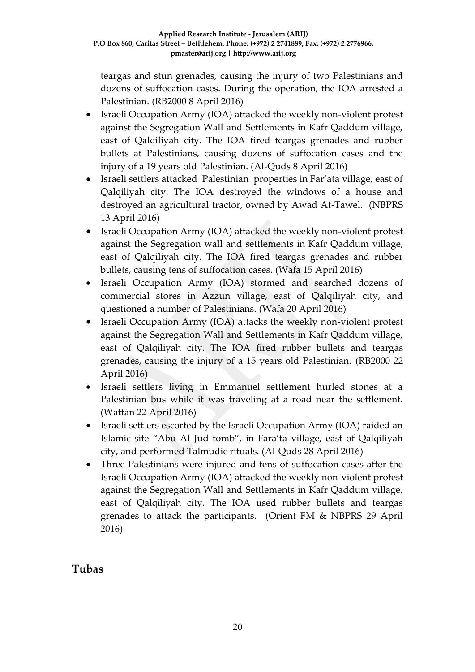teargas and stun grenades, causing the injury of two Palestinians and dozens of suffocation cases. During the operation, the IOA arrested a Palestinian. (RB2000 8 April 2016)

- Israeli Occupation Army (IOA) attacked the weekly non-violent protest against the Segregation Wall and Settlements in Kafr Qaddum village, east of Qalqiliyah city. The IOA fired teargas grenades and rubber bullets at Palestinians, causing dozens of suffocation cases and the injury of a 19 years old Palestinian. (Al-Quds 8 April 2016)
- Israeli settlers attacked Palestinian properties in Far'ata village, east of Qalqiliyah city. The IOA destroyed the windows of a house and destroyed an agricultural tractor, owned by Awad At-Tawel. (NBPRS 13 April 2016)
- Israeli Occupation Army (IOA) attacked the weekly non-violent protest against the Segregation wall and settlements in Kafr Qaddum village, east of Qalqiliyah city. The IOA fired teargas grenades and rubber bullets, causing tens of suffocation cases. (Wafa 15 April 2016)
- Israeli Occupation Army (IOA) stormed and searched dozens of commercial stores in Azzun village, east of Qalqiliyah city, and questioned a number of Palestinians. (Wafa 20 April 2016)
- Israeli Occupation Army (IOA) attacks the weekly non-violent protest against the Segregation Wall and Settlements in Kafr Qaddum village, east of Qalqiliyah city. The IOA fired rubber bullets and teargas grenades, causing the injury of a 15 years old Palestinian. (RB2000 22 April 2016)
- Israeli settlers living in Emmanuel settlement hurled stones at a Palestinian bus while it was traveling at a road near the settlement. (Wattan 22 April 2016)
- Israeli settlers escorted by the Israeli Occupation Army (IOA) raided an Islamic site "Abu Al Jud tomb", in Fara'ta village, east of Qalqiliyah city, and performed Talmudic rituals. (Al-Quds 28 April 2016)
- Three Palestinians were injured and tens of suffocation cases after the Israeli Occupation Army (IOA) attacked the weekly non-violent protest against the Segregation Wall and Settlements in Kafr Qaddum village, east of Qalqiliyah city. The IOA used rubber bullets and teargas grenades to attack the participants. (Orient FM & NBPRS 29 April 2016)

# **Tubas**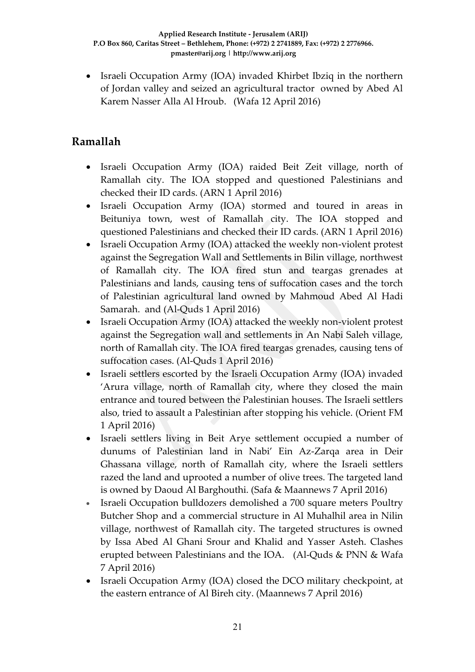• Israeli Occupation Army (IOA) invaded Khirbet Ibziq in the northern of Jordan valley and seized an agricultural tractor owned by Abed Al Karem Nasser Alla Al Hroub. (Wafa 12 April 2016)

# **Ramallah**

- Israeli Occupation Army (IOA) raided Beit Zeit village, north of Ramallah city. The IOA stopped and questioned Palestinians and checked their ID cards. (ARN 1 April 2016)
- Israeli Occupation Army (IOA) stormed and toured in areas in Beituniya town, west of Ramallah city. The IOA stopped and questioned Palestinians and checked their ID cards. (ARN 1 April 2016)
- Israeli Occupation Army (IOA) attacked the weekly non-violent protest against the Segregation Wall and Settlements in Bilin village, northwest of Ramallah city. The IOA fired stun and teargas grenades at Palestinians and lands, causing tens of suffocation cases and the torch of Palestinian agricultural land owned by Mahmoud Abed Al Hadi Samarah. and (Al-Quds 1 April 2016)
- Israeli Occupation Army (IOA) attacked the weekly non-violent protest against the Segregation wall and settlements in An Nabi Saleh village, north of Ramallah city. The IOA fired teargas grenades, causing tens of suffocation cases. (Al-Quds 1 April 2016)
- Israeli settlers escorted by the Israeli Occupation Army (IOA) invaded 'Arura village, north of Ramallah city, where they closed the main entrance and toured between the Palestinian houses. The Israeli settlers also, tried to assault a Palestinian after stopping his vehicle. (Orient FM 1 April 2016)
- Israeli settlers living in Beit Arye settlement occupied a number of dunums of Palestinian land in Nabi' Ein Az-Zarqa area in Deir Ghassana village, north of Ramallah city, where the Israeli settlers razed the land and uprooted a number of olive trees. The targeted land is owned by Daoud Al Barghouthi. (Safa & Maannews 7 April 2016)
- Israeli Occupation bulldozers demolished a 700 square meters Poultry Butcher Shop and a commercial structure in Al Muhalhil area in Nilin village, northwest of Ramallah city. The targeted structures is owned by Issa Abed Al Ghani Srour and Khalid and Yasser Asteh. Clashes erupted between Palestinians and the IOA. (Al-Quds & PNN & Wafa 7 April 2016)
- Israeli Occupation Army (IOA) closed the DCO military checkpoint, at the eastern entrance of Al Bireh city. (Maannews 7 April 2016)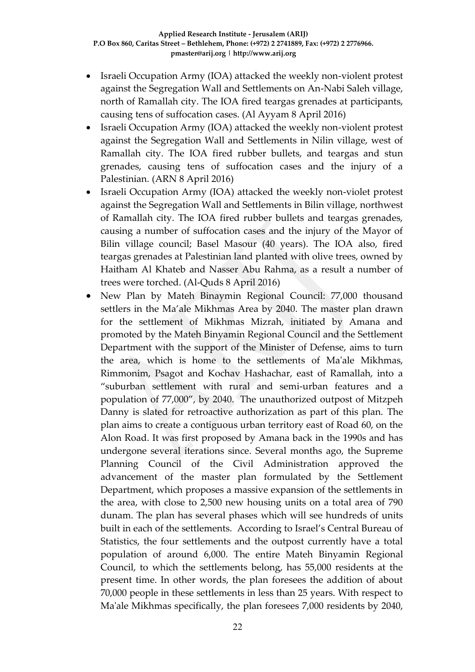- Israeli Occupation Army (IOA) attacked the weekly non-violent protest against the Segregation Wall and Settlements on An-Nabi Saleh village, north of Ramallah city. The IOA fired teargas grenades at participants, causing tens of suffocation cases. (Al Ayyam 8 April 2016)
- Israeli Occupation Army (IOA) attacked the weekly non-violent protest against the Segregation Wall and Settlements in Nilin village, west of Ramallah city. The IOA fired rubber bullets, and teargas and stun grenades, causing tens of suffocation cases and the injury of a Palestinian. (ARN 8 April 2016)
- Israeli Occupation Army (IOA) attacked the weekly non-violet protest against the Segregation Wall and Settlements in Bilin village, northwest of Ramallah city. The IOA fired rubber bullets and teargas grenades, causing a number of suffocation cases and the injury of the Mayor of Bilin village council; Basel Masour (40 years). The IOA also, fired teargas grenades at Palestinian land planted with olive trees, owned by Haitham Al Khateb and Nasser Abu Rahma, as a result a number of trees were torched. (Al-Quds 8 April 2016)
- New Plan by Mateh Binaymin Regional Council: 77,000 thousand settlers in the Ma'ale Mikhmas Area by 2040. The master plan drawn for the settlement of Mikhmas Mizrah, initiated by Amana and promoted by the Mateh Binyamin Regional Council and the Settlement Department with the support of the Minister of Defense, aims to turn the area, which is home to the settlements of Ma'ale Mikhmas, Rimmonim, Psagot and Kochav Hashachar, east of Ramallah, into a "suburban settlement with rural and semi-urban features and a population of 77,000", by 2040. The unauthorized outpost of Mitzpeh Danny is slated for retroactive authorization as part of this plan. The plan aims to create a contiguous urban territory east of Road 60, on the Alon Road. It was first proposed by Amana back in the 1990s and has undergone several iterations since. Several months ago, the Supreme Planning Council of the Civil Administration approved the advancement of the master plan formulated by the Settlement Department, which proposes a massive expansion of the settlements in the area, with close to 2,500 new housing units on a total area of 790 dunam. The plan has several phases which will see hundreds of units built in each of the settlements. According to Israel's Central Bureau of Statistics, the four settlements and the outpost currently have a total population of around 6,000. The entire Mateh Binyamin Regional Council, to which the settlements belong, has 55,000 residents at the present time. In other words, the plan foresees the addition of about 70,000 people in these settlements in less than 25 years. With respect to Ma'ale Mikhmas specifically, the plan foresees 7,000 residents by 2040,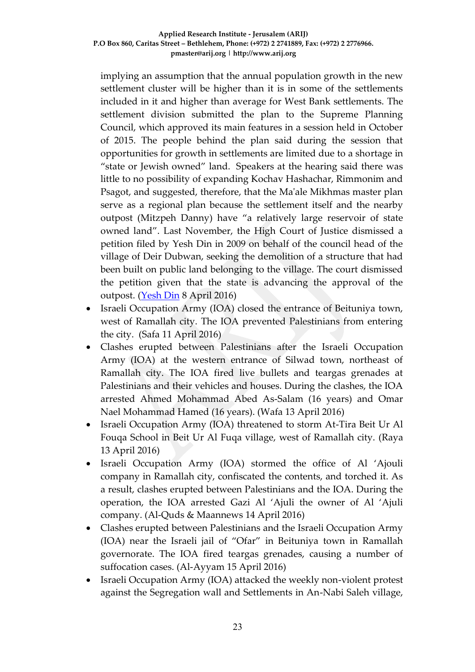implying an assumption that the annual population growth in the new settlement cluster will be higher than it is in some of the settlements included in it and higher than average for West Bank settlements. The settlement division submitted the plan to the Supreme Planning Council, which approved its main features in a session held in October of 2015. The people behind the plan said during the session that opportunities for growth in settlements are limited due to a shortage in "state or Jewish owned" land. Speakers at the hearing said there was little to no possibility of expanding Kochav Hashachar, Rimmonim and Psagot, and suggested, therefore, that the Ma'ale Mikhmas master plan serve as a regional plan because the settlement itself and the nearby outpost (Mitzpeh Danny) have "a relatively large reservoir of state owned land". Last November, the High Court of Justice dismissed a petition filed by Yesh Din in 2009 on behalf of the council head of the village of Deir Dubwan, seeking the demolition of a structure that had been built on public land belonging to the village. The court dismissed the petition given that the state is advancing the approval of the outpost. [\(Yesh Din](http://www.yesh-din.org/postview.asp?postid=332) 8 April 2016)

- Israeli Occupation Army (IOA) closed the entrance of Beituniya town, west of Ramallah city. The IOA prevented Palestinians from entering the city. (Safa 11 April 2016)
- Clashes erupted between Palestinians after the Israeli Occupation Army (IOA) at the western entrance of Silwad town, northeast of Ramallah city. The IOA fired live bullets and teargas grenades at Palestinians and their vehicles and houses. During the clashes, the IOA arrested Ahmed Mohammad Abed As-Salam (16 years) and Omar Nael Mohammad Hamed (16 years). (Wafa 13 April 2016)
- Israeli Occupation Army (IOA) threatened to storm At-Tira Beit Ur Al Fouqa School in Beit Ur Al Fuqa village, west of Ramallah city. (Raya 13 April 2016)
- Israeli Occupation Army (IOA) stormed the office of Al 'Ajouli company in Ramallah city, confiscated the contents, and torched it. As a result, clashes erupted between Palestinians and the IOA. During the operation, the IOA arrested Gazi Al 'Ajuli the owner of Al 'Ajuli company. (Al-Quds & Maannews 14 April 2016)
- Clashes erupted between Palestinians and the Israeli Occupation Army (IOA) near the Israeli jail of "Ofar" in Beituniya town in Ramallah governorate. The IOA fired teargas grenades, causing a number of suffocation cases. (Al-Ayyam 15 April 2016)
- Israeli Occupation Army (IOA) attacked the weekly non-violent protest against the Segregation wall and Settlements in An-Nabi Saleh village,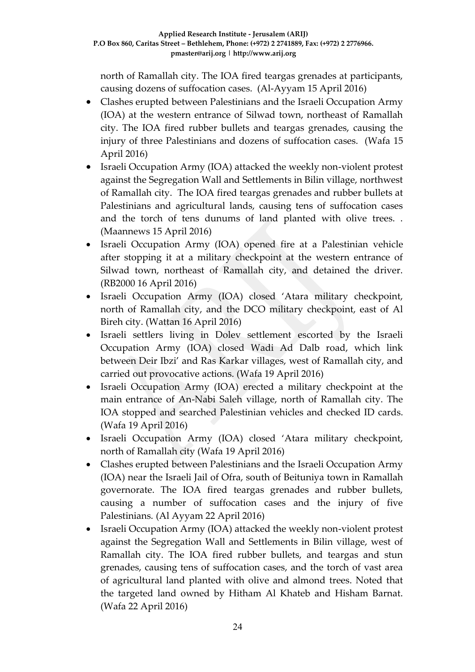north of Ramallah city. The IOA fired teargas grenades at participants, causing dozens of suffocation cases. (Al-Ayyam 15 April 2016)

- Clashes erupted between Palestinians and the Israeli Occupation Army (IOA) at the western entrance of Silwad town, northeast of Ramallah city. The IOA fired rubber bullets and teargas grenades, causing the injury of three Palestinians and dozens of suffocation cases. (Wafa 15 April 2016)
- Israeli Occupation Army (IOA) attacked the weekly non-violent protest against the Segregation Wall and Settlements in Bilin village, northwest of Ramallah city. The IOA fired teargas grenades and rubber bullets at Palestinians and agricultural lands, causing tens of suffocation cases and the torch of tens dunums of land planted with olive trees. . (Maannews 15 April 2016)
- Israeli Occupation Army (IOA) opened fire at a Palestinian vehicle after stopping it at a military checkpoint at the western entrance of Silwad town, northeast of Ramallah city, and detained the driver. (RB2000 16 April 2016)
- Israeli Occupation Army (IOA) closed 'Atara military checkpoint, north of Ramallah city, and the DCO military checkpoint, east of Al Bireh city. (Wattan 16 April 2016)
- Israeli settlers living in Dolev settlement escorted by the Israeli Occupation Army (IOA) closed Wadi Ad Dalb road, which link between Deir Ibzi' and Ras Karkar villages, west of Ramallah city, and carried out provocative actions. (Wafa 19 April 2016)
- Israeli Occupation Army (IOA) erected a military checkpoint at the main entrance of An-Nabi Saleh village, north of Ramallah city. The IOA stopped and searched Palestinian vehicles and checked ID cards. (Wafa 19 April 2016)
- Israeli Occupation Army (IOA) closed 'Atara military checkpoint, north of Ramallah city (Wafa 19 April 2016)
- Clashes erupted between Palestinians and the Israeli Occupation Army (IOA) near the Israeli Jail of Ofra, south of Beituniya town in Ramallah governorate. The IOA fired teargas grenades and rubber bullets, causing a number of suffocation cases and the injury of five Palestinians. (Al Ayyam 22 April 2016)
- Israeli Occupation Army (IOA) attacked the weekly non-violent protest against the Segregation Wall and Settlements in Bilin village, west of Ramallah city. The IOA fired rubber bullets, and teargas and stun grenades, causing tens of suffocation cases, and the torch of vast area of agricultural land planted with olive and almond trees. Noted that the targeted land owned by Hitham Al Khateb and Hisham Barnat. (Wafa 22 April 2016)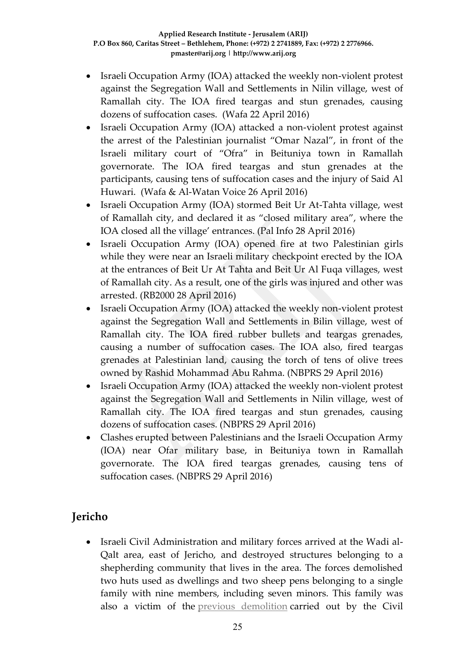- Israeli Occupation Army (IOA) attacked the weekly non-violent protest against the Segregation Wall and Settlements in Nilin village, west of Ramallah city. The IOA fired teargas and stun grenades, causing dozens of suffocation cases. (Wafa 22 April 2016)
- Israeli Occupation Army (IOA) attacked a non-violent protest against the arrest of the Palestinian journalist "Omar Nazal", in front of the Israeli military court of "Ofra" in Beituniya town in Ramallah governorate. The IOA fired teargas and stun grenades at the participants, causing tens of suffocation cases and the injury of Said Al Huwari. (Wafa & Al-Watan Voice 26 April 2016)
- Israeli Occupation Army (IOA) stormed Beit Ur At-Tahta village, west of Ramallah city, and declared it as "closed military area", where the IOA closed all the village' entrances. (Pal Info 28 April 2016)
- Israeli Occupation Army (IOA) opened fire at two Palestinian girls while they were near an Israeli military checkpoint erected by the IOA at the entrances of Beit Ur At Tahta and Beit Ur Al Fuqa villages, west of Ramallah city. As a result, one of the girls was injured and other was arrested. (RB2000 28 April 2016)
- Israeli Occupation Army (IOA) attacked the weekly non-violent protest against the Segregation Wall and Settlements in Bilin village, west of Ramallah city. The IOA fired rubber bullets and teargas grenades, causing a number of suffocation cases. The IOA also, fired teargas grenades at Palestinian land, causing the torch of tens of olive trees owned by Rashid Mohammad Abu Rahma. (NBPRS 29 April 2016)
- Israeli Occupation Army (IOA) attacked the weekly non-violent protest against the Segregation Wall and Settlements in Nilin village, west of Ramallah city. The IOA fired teargas and stun grenades, causing dozens of suffocation cases. (NBPRS 29 April 2016)
- Clashes erupted between Palestinians and the Israeli Occupation Army (IOA) near Ofar military base, in Beituniya town in Ramallah governorate. The IOA fired teargas grenades, causing tens of suffocation cases. (NBPRS 29 April 2016)

# **Jericho**

 Israeli Civil Administration and military forces arrived at the Wadi al-Qalt area, east of Jericho, and destroyed structures belonging to a shepherding community that lives in the area. The forces demolished two huts used as dwellings and two sheep pens belonging to a single family with nine members, including seven minors. This family was also a victim of the [previous demolition](http://www.btselem.org/planning_and_building/20160208_demolitions_in_jordan_valley) carried out by the Civil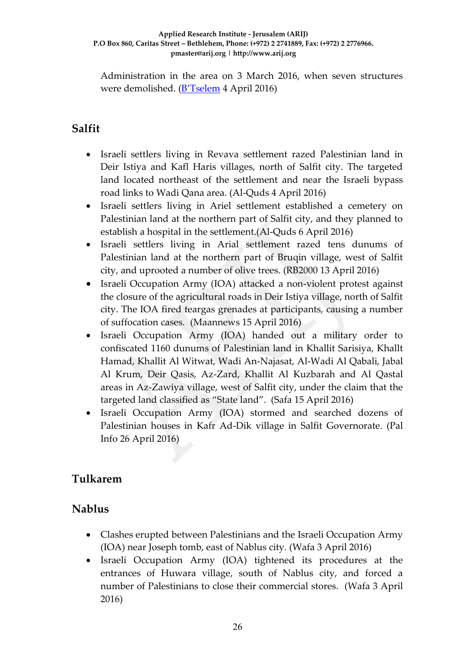Administration in the area on 3 March 2016, when seven structures were demolished. ([B'Tselem](http://www.btselem.org/planning_and_building/20160407_three_days_of_demolitions) 4 April 2016)

# **Salfit**

- Israeli settlers living in Revava settlement razed Palestinian land in Deir Istiya and Kafl Haris villages, north of Salfit city. The targeted land located northeast of the settlement and near the Israeli bypass road links to Wadi Qana area. (Al-Quds 4 April 2016)
- Israeli settlers living in Ariel settlement established a cemetery on Palestinian land at the northern part of Salfit city, and they planned to establish a hospital in the settlement.(Al-Quds 6 April 2016)
- Israeli settlers living in Arial settlement razed tens dunums of Palestinian land at the northern part of Bruqin village, west of Salfit city, and uprooted a number of olive trees. (RB2000 13 April 2016)
- Israeli Occupation Army (IOA) attacked a non-violent protest against the closure of the agricultural roads in Deir Istiya village, north of Salfit city. The IOA fired teargas grenades at participants, causing a number of suffocation cases.(Maannews 15 April 2016)
- Israeli Occupation Army (IOA) handed out a military order to confiscated 1160 dunums of Palestinian land in Khallit Sarisiya, Khallt Hamad, Khallit Al Witwat, Wadi An-Najasat, Al-Wadi Al Qabali, Jabal Al Krum, Deir Qasis, Az-Zard, Khallit Al Kuzbarah and Al Qastal areas in Az-Zawiya village, west of Salfit city, under the claim that the targeted land classified as "State land". (Safa 15 April 2016)
- Israeli Occupation Army (IOA) stormed and searched dozens of Palestinian houses in Kafr Ad-Dik village in Salfit Governorate. (Pal Info 26 April 2016)

# **Tulkarem**

### **Nablus**

- Clashes erupted between Palestinians and the Israeli Occupation Army (IOA) near Joseph tomb, east of Nablus city. (Wafa 3 April 2016)
- Israeli Occupation Army (IOA) tightened its procedures at the entrances of Huwara village, south of Nablus city, and forced a number of Palestinians to close their commercial stores. (Wafa 3 April 2016)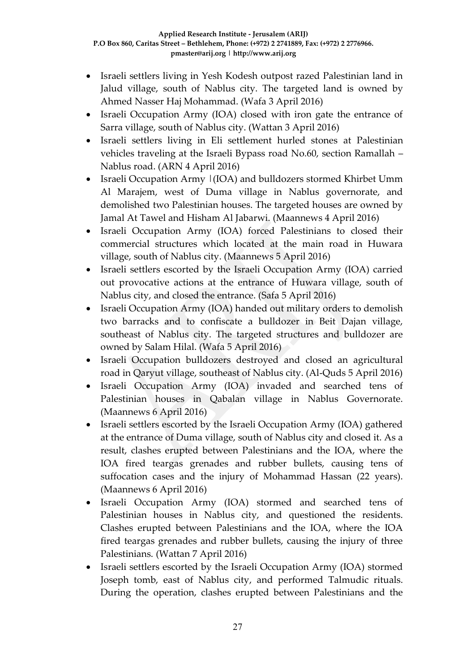- Israeli settlers living in Yesh Kodesh outpost razed Palestinian land in Jalud village, south of Nablus city. The targeted land is owned by Ahmed Nasser Haj Mohammad. (Wafa 3 April 2016)
- Israeli Occupation Army (IOA) closed with iron gate the entrance of Sarra village, south of Nablus city. (Wattan 3 April 2016)
- Israeli settlers living in Eli settlement hurled stones at Palestinian vehicles traveling at the Israeli Bypass road No.60, section Ramallah – Nablus road. (ARN 4 April 2016)
- Israeli Occupation Army |(IOA) and bulldozers stormed Khirbet Umm Al Marajem, west of Duma village in Nablus governorate, and demolished two Palestinian houses. The targeted houses are owned by Jamal At Tawel and Hisham Al Jabarwi. (Maannews 4 April 2016)
- Israeli Occupation Army (IOA) forced Palestinians to closed their commercial structures which located at the main road in Huwara village, south of Nablus city. (Maannews 5 April 2016)
- Israeli settlers escorted by the Israeli Occupation Army (IOA) carried out provocative actions at the entrance of Huwara village, south of Nablus city, and closed the entrance. (Safa 5 April 2016)
- Israeli Occupation Army (IOA) handed out military orders to demolish two barracks and to confiscate a bulldozer in Beit Dajan village, southeast of Nablus city. The targeted structures and bulldozer are owned by Salam Hilal. (Wafa 5 April 2016)
- Israeli Occupation bulldozers destroyed and closed an agricultural road in Qaryut village, southeast of Nablus city. (Al-Quds 5 April 2016)
- Israeli Occupation Army (IOA) invaded and searched tens of Palestinian houses in Qabalan village in Nablus Governorate. (Maannews 6 April 2016)
- Israeli settlers escorted by the Israeli Occupation Army (IOA) gathered at the entrance of Duma village, south of Nablus city and closed it. As a result, clashes erupted between Palestinians and the IOA, where the IOA fired teargas grenades and rubber bullets, causing tens of suffocation cases and the injury of Mohammad Hassan (22 years). (Maannews 6 April 2016)
- Israeli Occupation Army (IOA) stormed and searched tens of Palestinian houses in Nablus city, and questioned the residents. Clashes erupted between Palestinians and the IOA, where the IOA fired teargas grenades and rubber bullets, causing the injury of three Palestinians. (Wattan 7 April 2016)
- Israeli settlers escorted by the Israeli Occupation Army (IOA) stormed Joseph tomb, east of Nablus city, and performed Talmudic rituals. During the operation, clashes erupted between Palestinians and the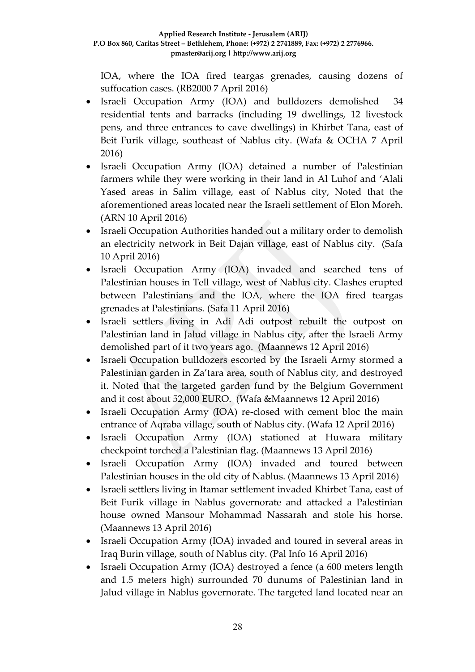IOA, where the IOA fired teargas grenades, causing dozens of suffocation cases. (RB2000 7 April 2016)

- Israeli Occupation Army (IOA) and bulldozers demolished 34 residential tents and barracks (including 19 dwellings, 12 livestock pens, and three entrances to cave dwellings) in Khirbet Tana, east of Beit Furik village, southeast of Nablus city. (Wafa & OCHA 7 April 2016)
- Israeli Occupation Army (IOA) detained a number of Palestinian farmers while they were working in their land in Al Luhof and 'Alali Yased areas in Salim village, east of Nablus city, Noted that the aforementioned areas located near the Israeli settlement of Elon Moreh. (ARN 10 April 2016)
- Israeli Occupation Authorities handed out a military order to demolish an electricity network in Beit Dajan village, east of Nablus city. (Safa 10 April 2016)
- Israeli Occupation Army (IOA) invaded and searched tens of Palestinian houses in Tell village, west of Nablus city. Clashes erupted between Palestinians and the IOA, where the IOA fired teargas grenades at Palestinians. (Safa 11 April 2016)
- Israeli settlers living in Adi Adi outpost rebuilt the outpost on Palestinian land in Jalud village in Nablus city, after the Israeli Army demolished part of it two years ago. (Maannews 12 April 2016)
- Israeli Occupation bulldozers escorted by the Israeli Army stormed a Palestinian garden in Za'tara area, south of Nablus city, and destroyed it. Noted that the targeted garden fund by the Belgium Government and it cost about 52,000 EURO. (Wafa &Maannews 12 April 2016)
- Israeli Occupation Army (IOA) re-closed with cement bloc the main entrance of Aqraba village, south of Nablus city. (Wafa 12 April 2016)
- Israeli Occupation Army (IOA) stationed at Huwara military checkpoint torched a Palestinian flag. (Maannews 13 April 2016)
- Israeli Occupation Army (IOA) invaded and toured between Palestinian houses in the old city of Nablus. (Maannews 13 April 2016)
- Israeli settlers living in Itamar settlement invaded Khirbet Tana, east of Beit Furik village in Nablus governorate and attacked a Palestinian house owned Mansour Mohammad Nassarah and stole his horse. (Maannews 13 April 2016)
- Israeli Occupation Army (IOA) invaded and toured in several areas in Iraq Burin village, south of Nablus city. (Pal Info 16 April 2016)
- Israeli Occupation Army (IOA) destroyed a fence (a 600 meters length and 1.5 meters high) surrounded 70 dunums of Palestinian land in Jalud village in Nablus governorate. The targeted land located near an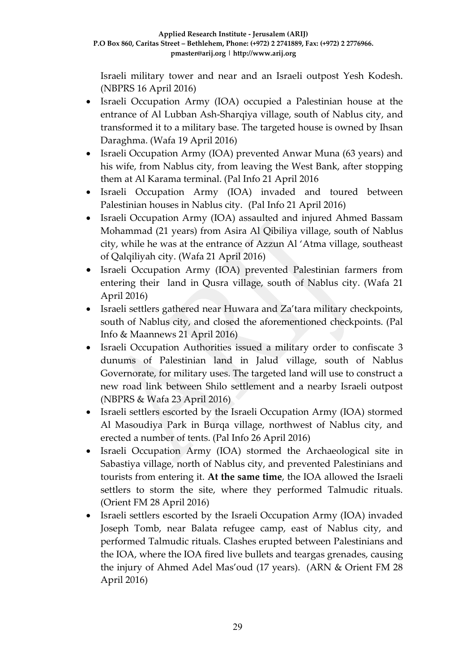Israeli military tower and near and an Israeli outpost Yesh Kodesh. (NBPRS 16 April 2016)

- Israeli Occupation Army (IOA) occupied a Palestinian house at the entrance of Al Lubban Ash-Sharqiya village, south of Nablus city, and transformed it to a military base. The targeted house is owned by Ihsan Daraghma. (Wafa 19 April 2016)
- Israeli Occupation Army (IOA) prevented Anwar Muna (63 years) and his wife, from Nablus city, from leaving the West Bank, after stopping them at Al Karama terminal. (Pal Info 21 April 2016
- Israeli Occupation Army (IOA) invaded and toured between Palestinian houses in Nablus city. (Pal Info 21 April 2016)
- Israeli Occupation Army (IOA) assaulted and injured Ahmed Bassam Mohammad (21 years) from Asira Al Qibiliya village, south of Nablus city, while he was at the entrance of Azzun Al 'Atma village, southeast of Qalqiliyah city. (Wafa 21 April 2016)
- Israeli Occupation Army (IOA) prevented Palestinian farmers from entering their land in Qusra village, south of Nablus city. (Wafa 21 April 2016)
- Israeli settlers gathered near Huwara and Za'tara military checkpoints, south of Nablus city, and closed the aforementioned checkpoints. (Pal Info & Maannews 21 April 2016)
- Israeli Occupation Authorities issued a military order to confiscate 3 dunums of Palestinian land in Jalud village, south of Nablus Governorate, for military uses. The targeted land will use to construct a new road link between Shilo settlement and a nearby Israeli outpost (NBPRS & Wafa 23 April 2016)
- Israeli settlers escorted by the Israeli Occupation Army (IOA) stormed Al Masoudiya Park in Burqa village, northwest of Nablus city, and erected a number of tents. (Pal Info 26 April 2016)
- Israeli Occupation Army (IOA) stormed the Archaeological site in Sabastiya village, north of Nablus city, and prevented Palestinians and tourists from entering it. **At the same time**, the IOA allowed the Israeli settlers to storm the site, where they performed Talmudic rituals. (Orient FM 28 April 2016)
- Israeli settlers escorted by the Israeli Occupation Army (IOA) invaded Joseph Tomb, near Balata refugee camp, east of Nablus city, and performed Talmudic rituals. Clashes erupted between Palestinians and the IOA, where the IOA fired live bullets and teargas grenades, causing the injury of Ahmed Adel Mas'oud (17 years). (ARN & Orient FM 28 April 2016)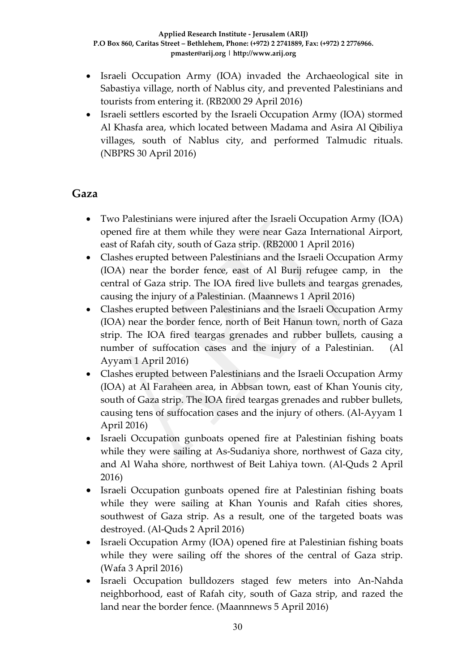- Israeli Occupation Army (IOA) invaded the Archaeological site in Sabastiya village, north of Nablus city, and prevented Palestinians and tourists from entering it. (RB2000 29 April 2016)
- Israeli settlers escorted by the Israeli Occupation Army (IOA) stormed Al Khasfa area, which located between Madama and Asira Al Qibiliya villages, south of Nablus city, and performed Talmudic rituals. (NBPRS 30 April 2016)

### **Gaza**

- Two Palestinians were injured after the Israeli Occupation Army (IOA) opened fire at them while they were near Gaza International Airport, east of Rafah city, south of Gaza strip. (RB2000 1 April 2016)
- Clashes erupted between Palestinians and the Israeli Occupation Army (IOA) near the border fence, east of Al Burij refugee camp, in the central of Gaza strip. The IOA fired live bullets and teargas grenades, causing the injury of a Palestinian. (Maannews 1 April 2016)
- Clashes erupted between Palestinians and the Israeli Occupation Army (IOA) near the border fence, north of Beit Hanun town, north of Gaza strip. The IOA fired teargas grenades and rubber bullets, causing a number of suffocation cases and the injury of a Palestinian. (Al Ayyam 1 April 2016)
- Clashes erupted between Palestinians and the Israeli Occupation Army (IOA) at Al Faraheen area, in Abbsan town, east of Khan Younis city, south of Gaza strip. The IOA fired teargas grenades and rubber bullets, causing tens of suffocation cases and the injury of others. (Al-Ayyam 1 April 2016)
- Israeli Occupation gunboats opened fire at Palestinian fishing boats while they were sailing at As-Sudaniya shore, northwest of Gaza city, and Al Waha shore, northwest of Beit Lahiya town. (Al-Quds 2 April 2016)
- Israeli Occupation gunboats opened fire at Palestinian fishing boats while they were sailing at Khan Younis and Rafah cities shores, southwest of Gaza strip. As a result, one of the targeted boats was destroyed. (Al-Quds 2 April 2016)
- Israeli Occupation Army (IOA) opened fire at Palestinian fishing boats while they were sailing off the shores of the central of Gaza strip. (Wafa 3 April 2016)
- Israeli Occupation bulldozers staged few meters into An-Nahda neighborhood, east of Rafah city, south of Gaza strip, and razed the land near the border fence. (Maannnews 5 April 2016)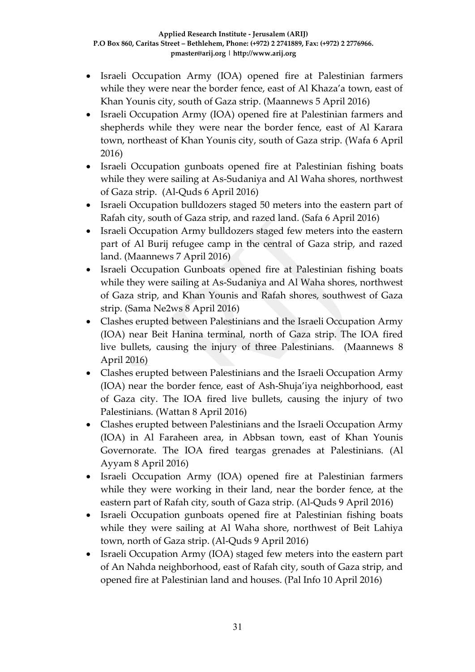- Israeli Occupation Army (IOA) opened fire at Palestinian farmers while they were near the border fence, east of Al Khaza'a town, east of Khan Younis city, south of Gaza strip. (Maannews 5 April 2016)
- Israeli Occupation Army (IOA) opened fire at Palestinian farmers and shepherds while they were near the border fence, east of Al Karara town, northeast of Khan Younis city, south of Gaza strip. (Wafa 6 April 2016)
- Israeli Occupation gunboats opened fire at Palestinian fishing boats while they were sailing at As-Sudaniya and Al Waha shores, northwest of Gaza strip. (Al-Quds 6 April 2016)
- Israeli Occupation bulldozers staged 50 meters into the eastern part of Rafah city, south of Gaza strip, and razed land. (Safa 6 April 2016)
- Israeli Occupation Army bulldozers staged few meters into the eastern part of Al Burij refugee camp in the central of Gaza strip, and razed land. (Maannews 7 April 2016)
- Israeli Occupation Gunboats opened fire at Palestinian fishing boats while they were sailing at As-Sudaniya and Al Waha shores, northwest of Gaza strip, and Khan Younis and Rafah shores, southwest of Gaza strip. (Sama Ne2ws 8 April 2016)
- Clashes erupted between Palestinians and the Israeli Occupation Army (IOA) near Beit Hanina terminal, north of Gaza strip. The IOA fired live bullets, causing the injury of three Palestinians. (Maannews 8 April 2016)
- Clashes erupted between Palestinians and the Israeli Occupation Army (IOA) near the border fence, east of Ash-Shuja'iya neighborhood, east of Gaza city. The IOA fired live bullets, causing the injury of two Palestinians. (Wattan 8 April 2016)
- Clashes erupted between Palestinians and the Israeli Occupation Army (IOA) in Al Faraheen area, in Abbsan town, east of Khan Younis Governorate. The IOA fired teargas grenades at Palestinians. (Al Ayyam 8 April 2016)
- Israeli Occupation Army (IOA) opened fire at Palestinian farmers while they were working in their land, near the border fence, at the eastern part of Rafah city, south of Gaza strip. (Al-Quds 9 April 2016)
- Israeli Occupation gunboats opened fire at Palestinian fishing boats while they were sailing at Al Waha shore, northwest of Beit Lahiya town, north of Gaza strip. (Al-Quds 9 April 2016)
- Israeli Occupation Army (IOA) staged few meters into the eastern part of An Nahda neighborhood, east of Rafah city, south of Gaza strip, and opened fire at Palestinian land and houses. (Pal Info 10 April 2016)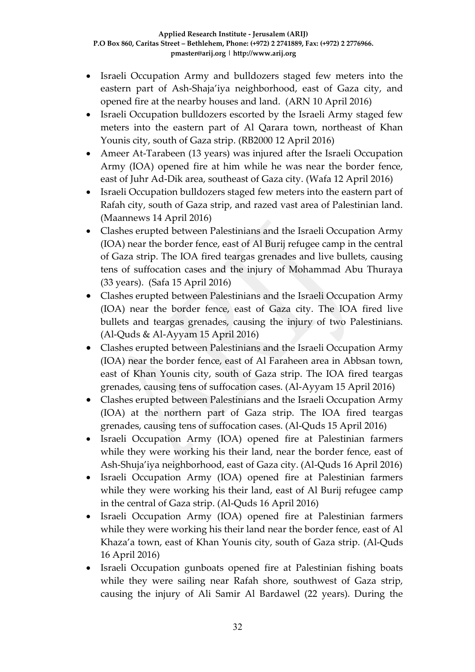- Israeli Occupation Army and bulldozers staged few meters into the eastern part of Ash-Shaja'iya neighborhood, east of Gaza city, and opened fire at the nearby houses and land. (ARN 10 April 2016)
- Israeli Occupation bulldozers escorted by the Israeli Army staged few meters into the eastern part of Al Qarara town, northeast of Khan Younis city, south of Gaza strip. (RB2000 12 April 2016)
- Ameer At-Tarabeen (13 years) was injured after the Israeli Occupation Army (IOA) opened fire at him while he was near the border fence, east of Juhr Ad-Dik area, southeast of Gaza city. (Wafa 12 April 2016)
- Israeli Occupation bulldozers staged few meters into the eastern part of Rafah city, south of Gaza strip, and razed vast area of Palestinian land. (Maannews 14 April 2016)
- Clashes erupted between Palestinians and the Israeli Occupation Army (IOA) near the border fence, east of Al Burij refugee camp in the central of Gaza strip. The IOA fired teargas grenades and live bullets, causing tens of suffocation cases and the injury of Mohammad Abu Thuraya (33 years). (Safa 15 April 2016)
- Clashes erupted between Palestinians and the Israeli Occupation Army (IOA) near the border fence, east of Gaza city. The IOA fired live bullets and teargas grenades, causing the injury of two Palestinians. (Al-Quds & Al-Ayyam 15 April 2016)
- Clashes erupted between Palestinians and the Israeli Occupation Army (IOA) near the border fence, east of Al Faraheen area in Abbsan town, east of Khan Younis city, south of Gaza strip. The IOA fired teargas grenades, causing tens of suffocation cases. (Al-Ayyam 15 April 2016)
- Clashes erupted between Palestinians and the Israeli Occupation Army (IOA) at the northern part of Gaza strip. The IOA fired teargas grenades, causing tens of suffocation cases. (Al-Quds 15 April 2016)
- Israeli Occupation Army (IOA) opened fire at Palestinian farmers while they were working his their land, near the border fence, east of Ash-Shuja'iya neighborhood, east of Gaza city. (Al-Quds 16 April 2016)
- Israeli Occupation Army (IOA) opened fire at Palestinian farmers while they were working his their land, east of Al Burij refugee camp in the central of Gaza strip. (Al-Quds 16 April 2016)
- Israeli Occupation Army (IOA) opened fire at Palestinian farmers while they were working his their land near the border fence, east of Al Khaza'a town, east of Khan Younis city, south of Gaza strip. (Al-Quds 16 April 2016)
- Israeli Occupation gunboats opened fire at Palestinian fishing boats while they were sailing near Rafah shore, southwest of Gaza strip, causing the injury of Ali Samir Al Bardawel (22 years). During the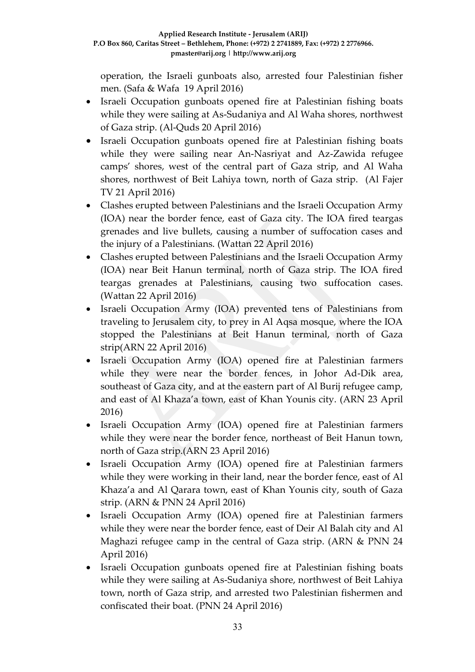operation, the Israeli gunboats also, arrested four Palestinian fisher men. (Safa & Wafa 19 April 2016)

- Israeli Occupation gunboats opened fire at Palestinian fishing boats while they were sailing at As-Sudaniya and Al Waha shores, northwest of Gaza strip. (Al-Quds 20 April 2016)
- Israeli Occupation gunboats opened fire at Palestinian fishing boats while they were sailing near An-Nasriyat and Az-Zawida refugee camps' shores, west of the central part of Gaza strip, and Al Waha shores, northwest of Beit Lahiya town, north of Gaza strip. (Al Fajer TV 21 April 2016)
- Clashes erupted between Palestinians and the Israeli Occupation Army (IOA) near the border fence, east of Gaza city. The IOA fired teargas grenades and live bullets, causing a number of suffocation cases and the injury of a Palestinians. (Wattan 22 April 2016)
- Clashes erupted between Palestinians and the Israeli Occupation Army (IOA) near Beit Hanun terminal, north of Gaza strip. The IOA fired teargas grenades at Palestinians, causing two suffocation cases. (Wattan 22 April 2016)
- Israeli Occupation Army (IOA) prevented tens of Palestinians from traveling to Jerusalem city, to prey in Al Aqsa mosque, where the IOA stopped the Palestinians at Beit Hanun terminal, north of Gaza strip(ARN 22 April 2016)
- Israeli Occupation Army (IOA) opened fire at Palestinian farmers while they were near the border fences, in Johor Ad-Dik area, southeast of Gaza city, and at the eastern part of Al Burij refugee camp, and east of Al Khaza'a town, east of Khan Younis city. (ARN 23 April 2016)
- Israeli Occupation Army (IOA) opened fire at Palestinian farmers while they were near the border fence, northeast of Beit Hanun town, north of Gaza strip.(ARN 23 April 2016)
- Israeli Occupation Army (IOA) opened fire at Palestinian farmers while they were working in their land, near the border fence, east of Al Khaza'a and Al Qarara town, east of Khan Younis city, south of Gaza strip. (ARN & PNN 24 April 2016)
- Israeli Occupation Army (IOA) opened fire at Palestinian farmers while they were near the border fence, east of Deir Al Balah city and Al Maghazi refugee camp in the central of Gaza strip. (ARN & PNN 24 April 2016)
- Israeli Occupation gunboats opened fire at Palestinian fishing boats while they were sailing at As-Sudaniya shore, northwest of Beit Lahiya town, north of Gaza strip, and arrested two Palestinian fishermen and confiscated their boat. (PNN 24 April 2016)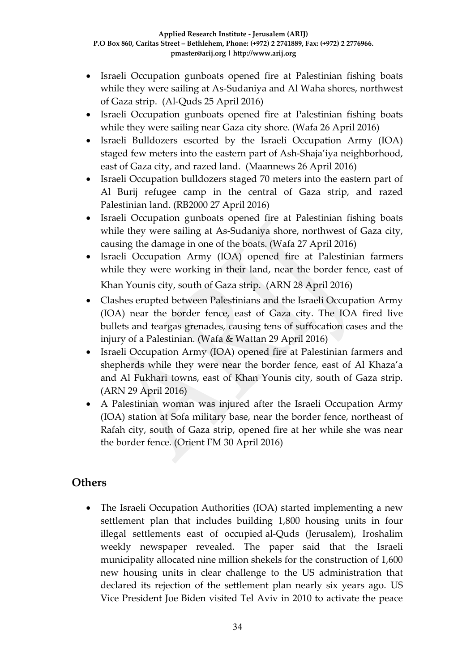- Israeli Occupation gunboats opened fire at Palestinian fishing boats while they were sailing at As-Sudaniya and Al Waha shores, northwest of Gaza strip. (Al-Quds 25 April 2016)
- Israeli Occupation gunboats opened fire at Palestinian fishing boats while they were sailing near Gaza city shore. (Wafa 26 April 2016)
- Israeli Bulldozers escorted by the Israeli Occupation Army (IOA) staged few meters into the eastern part of Ash-Shaja'iya neighborhood, east of Gaza city, and razed land. (Maannews 26 April 2016)
- Israeli Occupation bulldozers staged 70 meters into the eastern part of Al Burij refugee camp in the central of Gaza strip, and razed Palestinian land. (RB2000 27 April 2016)
- Israeli Occupation gunboats opened fire at Palestinian fishing boats while they were sailing at As-Sudaniya shore, northwest of Gaza city, causing the damage in one of the boats. (Wafa 27 April 2016)
- Israeli Occupation Army (IOA) opened fire at Palestinian farmers while they were working in their land, near the border fence, east of Khan Younis city, south of Gaza strip. (ARN 28 April 2016)
- Clashes erupted between Palestinians and the Israeli Occupation Army (IOA) near the border fence, east of Gaza city. The IOA fired live bullets and teargas grenades, causing tens of suffocation cases and the injury of a Palestinian. (Wafa & Wattan 29 April 2016)
- Israeli Occupation Army (IOA) opened fire at Palestinian farmers and shepherds while they were near the border fence, east of Al Khaza'a and Al Fukhari towns, east of Khan Younis city, south of Gaza strip. (ARN 29 April 2016)
- A Palestinian woman was injured after the Israeli Occupation Army (IOA) station at Sofa military base, near the border fence, northeast of Rafah city, south of Gaza strip, opened fire at her while she was near the border fence. (Orient FM 30 April 2016)

### **Others**

• The Israeli Occupation Authorities (IOA) started implementing a new settlement plan that includes building 1,800 housing units in four illegal settlements east of occupied al-Quds (Jerusalem), Iroshalim weekly newspaper revealed. The paper said that the Israeli municipality allocated nine million shekels for the construction of 1,600 new housing units in clear challenge to the US administration that declared its rejection of the settlement plan nearly six years ago. US Vice President Joe Biden visited Tel Aviv in 2010 to activate the peace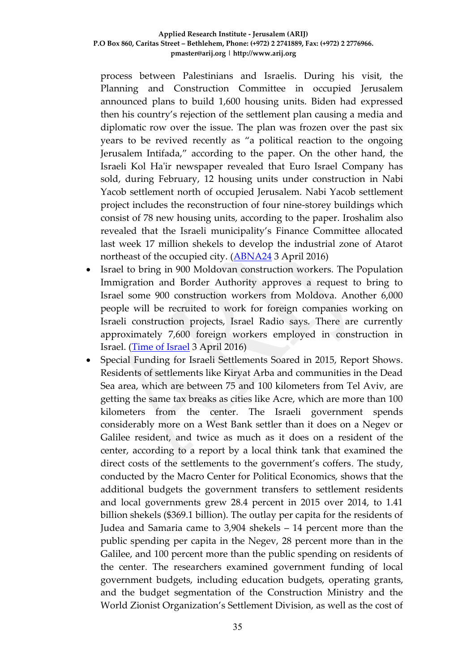process between Palestinians and Israelis. During his visit, the Planning and Construction Committee in occupied Jerusalem announced plans to build 1,600 housing units. Biden had expressed then his country's rejection of the settlement plan causing a media and diplomatic row over the issue. The plan was frozen over the past six years to be revived recently as "a political reaction to the ongoing Jerusalem Intifada," according to the paper. On the other hand, the Israeli Kol Ha'ir newspaper revealed that Euro Israel Company has sold, during February, 12 housing units under construction in Nabi Yacob settlement north of occupied Jerusalem. Nabi Yacob settlement project includes the reconstruction of four nine-storey buildings which consist of 78 new housing units, according to the paper. Iroshalim also revealed that the Israeli municipality's Finance Committee allocated last week 17 million shekels to develop the industrial zone of Atarot northeast of the occupied city. [\(ABNA24](•%09http:/en.abna24.com/service/middle-east-west-asia/archive/2016/04/03/744795/story.html) 3 April 2016)

- Israel to bring in 900 Moldovan construction workers. The Population Immigration and Border Authority approves a request to bring to Israel some 900 construction workers from Moldova. Another 6,000 people will be recruited to work for foreign companies working on Israeli construction projects, Israel Radio says. There are currently approximately 7,600 foreign workers employed in construction in Israel. [\(Time of Israel](http://www.timesofisrael.com/liveblog_entry/israel-to-bring-in-900-moldovan-construction-workers/) 3 April 2016)
- Special Funding for Israeli Settlements Soared in 2015, Report Shows. Residents of settlements like Kiryat Arba and communities in the Dead Sea area, which are between 75 and 100 kilometers from Tel Aviv, are getting the same tax breaks as cities like Acre, which are more than 100 kilometers from the center. The Israeli government spends considerably more on a West Bank settler than it does on a Negev or Galilee resident, and twice as much as it does on a resident of the center, according to a report by a local think tank that examined the direct costs of the settlements to the government's coffers. The study, conducted by the Macro Center for Political Economics, shows that the additional budgets the government transfers to settlement residents and local governments grew 28.4 percent in 2015 over 2014, to 1.41 billion shekels (\$369.1 billion). The outlay per capita for the residents of Judea and Samaria came to 3,904 shekels – 14 percent more than the public spending per capita in the Negev, 28 percent more than in the Galilee, and 100 percent more than the public spending on residents of the center. The researchers examined government funding of local government budgets, including education budgets, operating grants, and the budget segmentation of the Construction Ministry and the World Zionist Organization's Settlement Division, as well as the cost of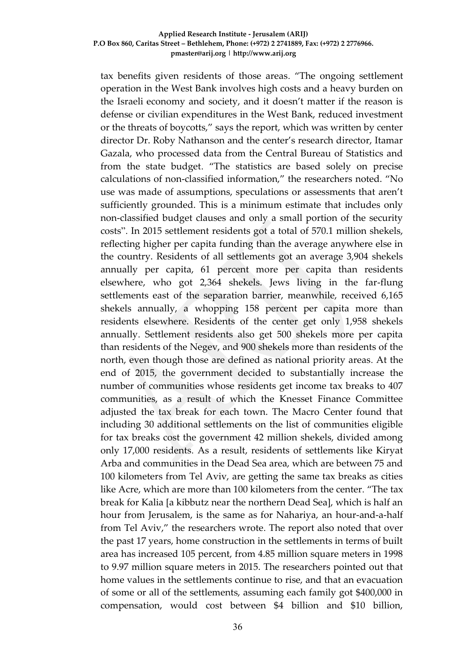tax benefits given residents of those areas. "The ongoing settlement operation in the West Bank involves high costs and a heavy burden on the Israeli economy and society, and it doesn't matter if the reason is defense or civilian expenditures in the West Bank, reduced investment or the threats of boycotts," says the report, which was written by center director Dr. Roby Nathanson and the center's research director, Itamar Gazala, who processed data from the Central Bureau of Statistics and from the state budget. "The statistics are based solely on precise calculations of non-classified information," the researchers noted. "No use was made of assumptions, speculations or assessments that aren't sufficiently grounded. This is a minimum estimate that includes only non-classified budget clauses and only a small portion of the security costs". In 2015 settlement residents got a total of 570.1 million shekels, reflecting higher per capita funding than the average anywhere else in the country. Residents of all settlements got an average 3,904 shekels annually per capita, 61 percent more per capita than residents elsewhere, who got 2,364 shekels. Jews living in the far-flung settlements east of the separation barrier, meanwhile, received 6,165 shekels annually, a whopping 158 percent per capita more than residents elsewhere. Residents of the center get only 1,958 shekels annually. Settlement residents also get 500 shekels more per capita than residents of the Negev, and 900 shekels more than residents of the north, even though those are defined as national priority areas. At the end of 2015, the government decided to substantially increase the number of communities whose residents get income tax breaks to 407 communities, as a result of which the Knesset Finance Committee adjusted the tax break for each town. The Macro Center found that including 30 additional settlements on the list of communities eligible for tax breaks cost the government 42 million shekels, divided among only 17,000 residents. As a result, residents of settlements like Kiryat Arba and communities in the Dead Sea area, which are between 75 and 100 kilometers from Tel Aviv, are getting the same tax breaks as cities like Acre, which are more than 100 kilometers from the center. "The tax break for Kalia [a kibbutz near the northern Dead Sea], which is half an hour from Jerusalem, is the same as for Nahariya, an hour-and-a-half from Tel Aviv," the researchers wrote. The report also noted that over the past 17 years, home construction in the settlements in terms of built area has increased 105 percent, from 4.85 million square meters in 1998 to 9.97 million square meters in 2015. The researchers pointed out that home values in the settlements continue to rise, and that an evacuation of some or all of the settlements, assuming each family got \$400,000 in compensation, would cost between \$4 billion and \$10 billion,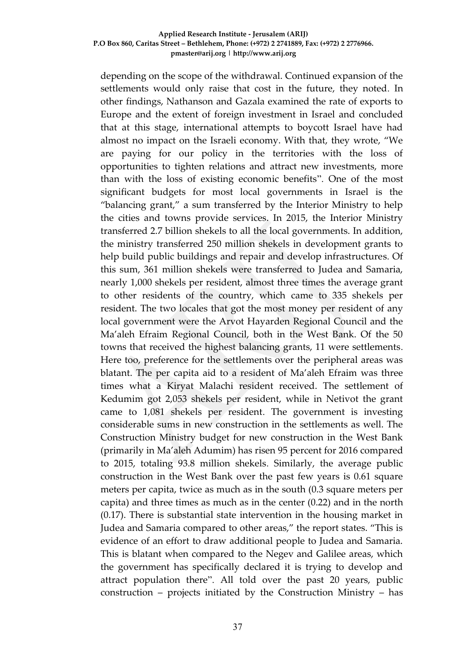depending on the scope of the withdrawal. Continued expansion of the settlements would only raise that cost in the future, they noted. In other findings, Nathanson and Gazala examined the rate of exports to Europe and the extent of foreign investment in Israel and concluded that at this stage, international attempts to boycott Israel have had almost no impact on the Israeli economy. With that, they wrote, "We are paying for our policy in the territories with the loss of opportunities to tighten relations and attract new investments, more than with the loss of existing economic benefits". One of the most significant budgets for most local governments in Israel is the "balancing grant," a sum transferred by the Interior Ministry to help the cities and towns provide services. In 2015, the Interior Ministry transferred 2.7 billion shekels to all the local governments. In addition, the ministry transferred 250 million shekels in development grants to help build public buildings and repair and develop infrastructures. Of this sum, 361 million shekels were transferred to Judea and Samaria, nearly 1,000 shekels per resident, almost three times the average grant to other residents of the country, which came to 335 shekels per resident. The two locales that got the most money per resident of any local government were the Arvot Hayarden Regional Council and the Ma'aleh Efraim Regional Council, both in the West Bank. Of the 50 towns that received the highest balancing grants, 11 were settlements. Here too, preference for the settlements over the peripheral areas was blatant. The per capita aid to a resident of Ma'aleh Efraim was three times what a Kiryat Malachi resident received. The settlement of Kedumim got 2,053 shekels per resident, while in Netivot the grant came to 1,081 shekels per resident. The government is investing considerable sums in new construction in the settlements as well. The Construction Ministry budget for new construction in the West Bank (primarily in Ma'aleh Adumim) has risen 95 percent for 2016 compared to 2015, totaling 93.8 million shekels. Similarly, the average public construction in the West Bank over the past few years is 0.61 square meters per capita, twice as much as in the south (0.3 square meters per capita) and three times as much as in the center (0.22) and in the north (0.17). There is substantial state intervention in the housing market in Judea and Samaria compared to other areas," the report states. "This is evidence of an effort to draw additional people to Judea and Samaria. This is blatant when compared to the Negev and Galilee areas, which the government has specifically declared it is trying to develop and attract population there". All told over the past 20 years, public construction – projects initiated by the Construction Ministry – has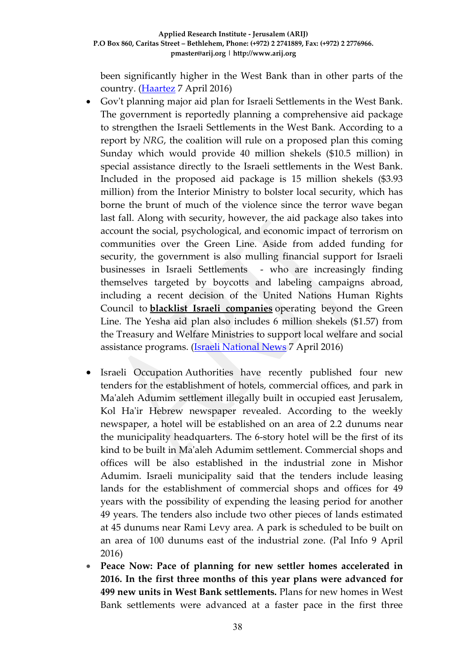been significantly higher in the West Bank than in other parts of the country. [\(Haartez](http://www.haaretz.com/israel-news/.premium-1.713152) 7 April 2016)

- Gov't planning major aid plan for Israeli Settlements in the West Bank. The government is reportedly planning a comprehensive aid package to strengthen the Israeli Settlements in the West Bank. According to a report by *NRG*, the coalition will rule on a proposed plan this coming Sunday which would provide 40 million shekels (\$10.5 million) in special assistance directly to the Israeli settlements in the West Bank. Included in the proposed aid package is 15 million shekels (\$3.93 million) from the Interior Ministry to bolster local security, which has borne the brunt of much of the violence since the terror wave began last fall. Along with security, however, the aid package also takes into account the social, psychological, and economic impact of terrorism on communities over the Green Line. Aside from added funding for security, the government is also mulling financial support for Israeli businesses in Israeli Settlements - who are increasingly finding themselves targeted by boycotts and labeling campaigns abroad, including a recent decision of the United Nations Human Rights Council to **[blacklist Israeli companies](http://www.israelnationalnews.com/News/News.aspx/210125)** operating beyond the Green Line. The Yesha aid plan also includes 6 million shekels (\$1.57) from the Treasury and Welfare Ministries to support local welfare and social assistance programs. [\(Israeli National News](http://www.israelnationalnews.com/News/News.aspx/210430#.VwX77fl94dU) 7 April 2016)
- Israeli Occupation Authorities have recently published four new tenders for the establishment of hotels, commercial offices, and park in Ma'aleh Adumim settlement illegally built in occupied east Jerusalem, Kol Ha'ir Hebrew newspaper revealed. According to the weekly newspaper, a hotel will be established on an area of 2.2 dunums near the municipality headquarters. The 6-story hotel will be the first of its kind to be built in Ma'aleh Adumim settlement. Commercial shops and offices will be also established in the industrial zone in Mishor Adumim. Israeli municipality said that the tenders include leasing lands for the establishment of commercial shops and offices for 49 years with the possibility of expending the leasing period for another 49 years. The tenders also include two other pieces of lands estimated at 45 dunums near Rami Levy area. A park is scheduled to be built on an area of 100 dunums east of the industrial zone. (Pal Info 9 April 2016)
- **Peace Now: Pace of planning for new settler homes accelerated in 2016. In the first three months of this year plans were advanced for 499 new units in West Bank settlements.** Plans for new homes in West Bank settlements were advanced at a faster pace in the first three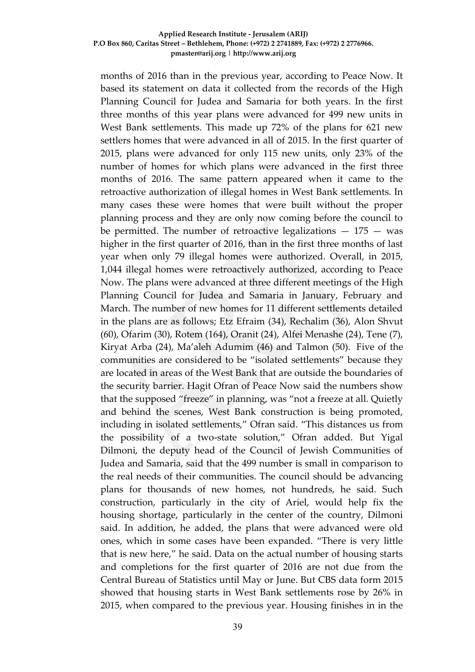months of 2016 than in the previous year, according to Peace Now. It based its statement on data it collected from the records of the High Planning Council for Judea and Samaria for both years. In the first three months of this year plans were advanced for 499 new units in West Bank settlements. This made up 72% of the plans for 621 new settlers homes that were advanced in all of 2015. In the first quarter of 2015, plans were advanced for only 115 new units, only 23% of the number of homes for which plans were advanced in the first three months of 2016. The same pattern appeared when it came to the retroactive authorization of illegal homes in West Bank settlements. In many cases these were homes that were built without the proper planning process and they are only now coming before the council to be permitted. The number of retroactive legalizations  $-175 -$  was higher in the first quarter of 2016, than in the first three months of last year when only 79 illegal homes were authorized. Overall, in 2015, 1,044 illegal homes were retroactively authorized, according to Peace Now. The plans were advanced at three different meetings of the High Planning Council for Judea and Samaria in January, February and March. The number of new homes for 11 different settlements detailed in the plans are as follows; Etz Efraim (34), Rechalim (36), Alon Shvut (60), Ofarim (30), Rotem (164), Oranit (24), Alfei Menashe (24), Tene (7), Kiryat Arba (24), Ma'aleh Adumim (46) and Talmon (50). Five of the communities are considered to be "isolated settlements" because they are located in areas of the West Bank that are outside the boundaries of the security barrier. Hagit Ofran of Peace Now said the numbers show that the supposed "freeze" in planning, was "not a freeze at all. Quietly and behind the scenes, West Bank construction is being promoted, including in isolated settlements," Ofran said. "This distances us from the possibility of a two-state solution," Ofran added. But Yigal Dilmoni, the deputy head of the Council of Jewish Communities of Judea and Samaria, said that the 499 number is small in comparison to the real needs of their communities. The council should be advancing plans for thousands of new homes, not hundreds, he said. Such construction, particularly in the city of Ariel, would help fix the housing shortage, particularly in the center of the country, Dilmoni said. In addition, he added, the plans that were advanced were old ones, which in some cases have been expanded. "There is very little that is new here," he said. Data on the actual number of housing starts and completions for the first quarter of 2016 are not due from the Central Bureau of Statistics until May or June. But CBS data form 2015 showed that housing starts in West Bank settlements rose by 26% in 2015, when compared to the previous year. Housing finishes in in the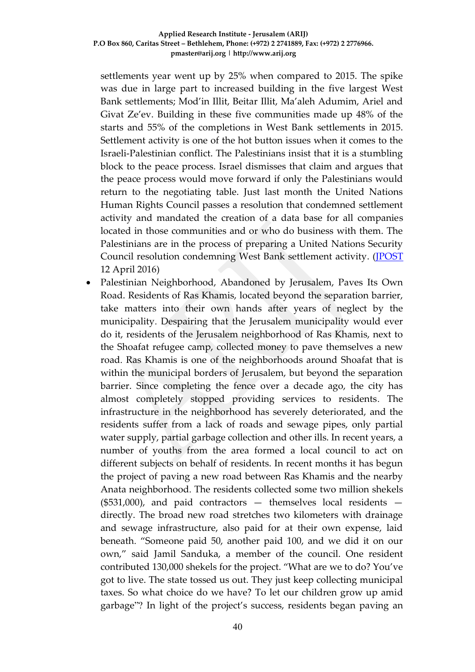settlements year went up by 25% when compared to 2015. The spike was due in large part to increased building in the five largest West Bank settlements; Mod'in Illit, Beitar Illit, Ma'aleh Adumim, Ariel and Givat Ze'ev. Building in these five communities made up 48% of the starts and 55% of the completions in West Bank settlements in 2015. Settlement activity is one of the hot button issues when it comes to the Israeli-Palestinian conflict. The Palestinians insist that it is a stumbling block to the peace process. Israel dismisses that claim and argues that the peace process would move forward if only the Palestinians would return to the negotiating table. Just last month the United Nations Human Rights Council passes a resolution that condemned settlement activity and mandated the creation of a data base for all companies located in those communities and or who do business with them. The Palestinians are in the process of preparing a United Nations Security Council resolution condemning West Bank settlement activity. [\(JPOST](http://www.jpost.com/Israel-News/Peace-Now-Pace-of-planing-for-new-settler-homes-accelerated-in-2016-450932) 12 April 2016)

• Palestinian Neighborhood, Abandoned by Jerusalem, Paves Its Own Road. Residents of Ras Khamis, located beyond the separation barrier, take matters into their own hands after years of neglect by the municipality. Despairing that the Jerusalem municipality would ever do it, residents of the Jerusalem neighborhood of Ras Khamis, next to the Shoafat refugee camp, collected money to pave themselves a new road. Ras Khamis is one of the neighborhoods around Shoafat that is within the municipal borders of Jerusalem, but beyond the separation barrier. Since completing the fence over a decade ago, the city has almost completely stopped providing services to residents. The infrastructure in the neighborhood has severely deteriorated, and the residents suffer from a lack of roads and sewage pipes, only partial water supply, partial garbage collection and other ills. In recent years, a number of youths from the area formed a local council to act on different subjects on behalf of residents. In recent months it has begun the project of paving a new road between Ras Khamis and the nearby Anata neighborhood. The residents collected some two million shekels  $($531,000)$ , and paid contractors - themselves local residents directly. The broad new road stretches two kilometers with drainage and sewage infrastructure, also paid for at their own expense, laid beneath. "Someone paid 50, another paid 100, and we did it on our own," said Jamil Sanduka, a member of the council. One resident contributed 130,000 shekels for the project. "What are we to do? You've got to live. The state tossed us out. They just keep collecting municipal taxes. So what choice do we have? To let our children grow up amid garbage"? In light of the project's success, residents began paving an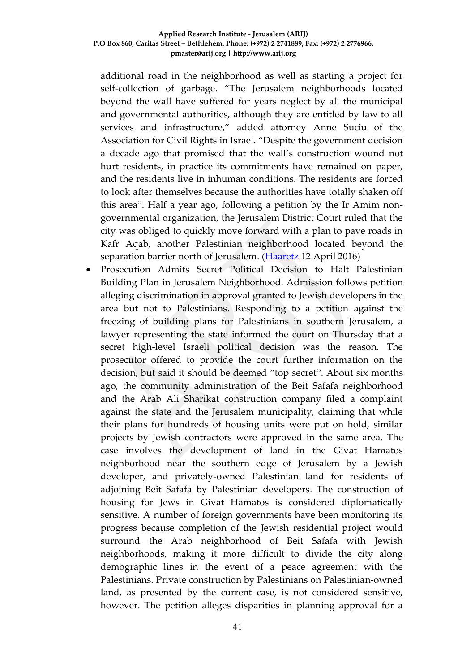additional road in the neighborhood as well as starting a project for self-collection of garbage. "The Jerusalem neighborhoods located beyond the wall have suffered for years neglect by all the municipal and governmental authorities, although they are entitled by law to all services and infrastructure," added attorney Anne Suciu of the Association for Civil Rights in Israel. "Despite the government decision a decade ago that promised that the wall's construction wound not hurt residents, in practice its commitments have remained on paper, and the residents live in inhuman conditions. The residents are forced to look after themselves because the authorities have totally shaken off this area". Half a year ago, following a petition by the Ir Amim nongovernmental organization, the Jerusalem District Court ruled that the city was obliged to quickly move forward with a plan to pave roads in Kafr Aqab, another Palestinian neighborhood located beyond the separation barrier north of Jerusalem. [\(Haaretz](http://www.haaretz.com/israel-news/.premium-1.713925) 12 April 2016)

 Prosecution Admits Secret Political Decision to Halt Palestinian Building Plan in Jerusalem Neighborhood. Admission follows petition alleging discrimination in approval granted to Jewish developers in the area but not to Palestinians. Responding to a petition against the freezing of building plans for Palestinians in southern Jerusalem, a lawyer representing the state informed the court on Thursday that a secret high-level Israeli political decision was the reason. The prosecutor offered to provide the court further information on the decision, but said it should be deemed "top secret". About six months ago, the community administration of the Beit Safafa neighborhood and the Arab Ali Sharikat construction company filed a complaint against the state and the Jerusalem municipality, claiming that while their plans for hundreds of housing units were put on hold, similar projects by Jewish contractors were approved in the same area. The case involves the development of land in the Givat Hamatos neighborhood near the southern edge of Jerusalem by a Jewish developer, and privately-owned Palestinian land for residents of adjoining Beit Safafa by Palestinian developers. The construction of housing for Jews in Givat Hamatos is considered diplomatically sensitive. A number of foreign governments have been monitoring its progress because completion of the Jewish residential project would surround the Arab neighborhood of Beit Safafa with Jewish neighborhoods, making it more difficult to divide the city along demographic lines in the event of a peace agreement with the Palestinians. Private construction by Palestinians on Palestinian-owned land, as presented by the current case, is not considered sensitive, however. The petition alleges disparities in planning approval for a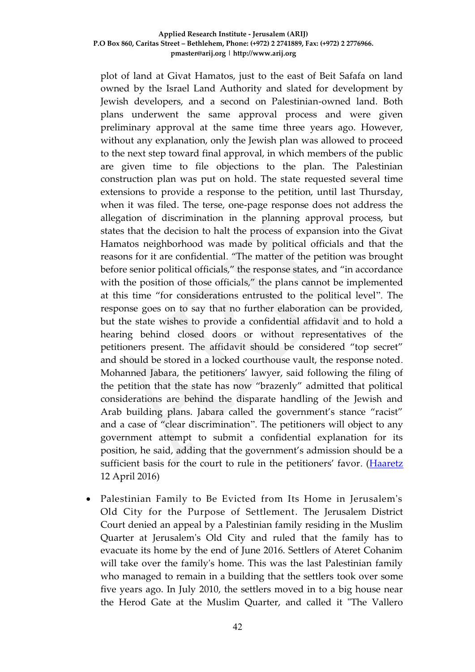plot of land at Givat Hamatos, just to the east of Beit Safafa on land owned by the Israel Land Authority and slated for development by Jewish developers, and a second on Palestinian-owned land. Both plans underwent the same approval process and were given preliminary approval at the same time three years ago. However, without any explanation, only the Jewish plan was allowed to proceed to the next step toward final approval, in which members of the public are given time to file objections to the plan. The Palestinian construction plan was put on hold. The state requested several time extensions to provide a response to the petition, until last Thursday, when it was filed. The terse, one-page response does not address the allegation of discrimination in the planning approval process, but states that the decision to halt the process of expansion into the Givat Hamatos neighborhood was made by political officials and that the reasons for it are confidential. "The matter of the petition was brought before senior political officials," the response states, and "in accordance with the position of those officials," the plans cannot be implemented at this time "for considerations entrusted to the political level". The response goes on to say that no further elaboration can be provided, but the state wishes to provide a confidential affidavit and to hold a hearing behind closed doors or without representatives of the petitioners present. The affidavit should be considered "top secret" and should be stored in a locked courthouse vault, the response noted. Mohanned Jabara, the petitioners' lawyer, said following the filing of the petition that the state has now "brazenly" admitted that political considerations are behind the disparate handling of the Jewish and Arab building plans. Jabara called the government's stance "racist" and a case of "clear discrimination". The petitioners will object to any government attempt to submit a confidential explanation for its position, he said, adding that the government's admission should be a sufficient basis for the court to rule in the petitioners' favor. [\(Haaretz](http://www.haaretz.com/israel-news/.premium-1.713661) 12 April 2016)

 Palestinian Family to Be Evicted from Its Home in Jerusalem's Old City for the Purpose of Settlement. The Jerusalem District Court denied an appeal by a Palestinian family residing in the Muslim Quarter at Jerusalem's Old City and ruled that the family has to evacuate its home by the end of June 2016. Settlers of Ateret Cohanim will take over the family's home. This was the last Palestinian family who managed to remain in a building that the settlers took over some five years ago. In July 2010, the settlers moved in to a big house near the Herod Gate at the Muslim Quarter, and called it "The Vallero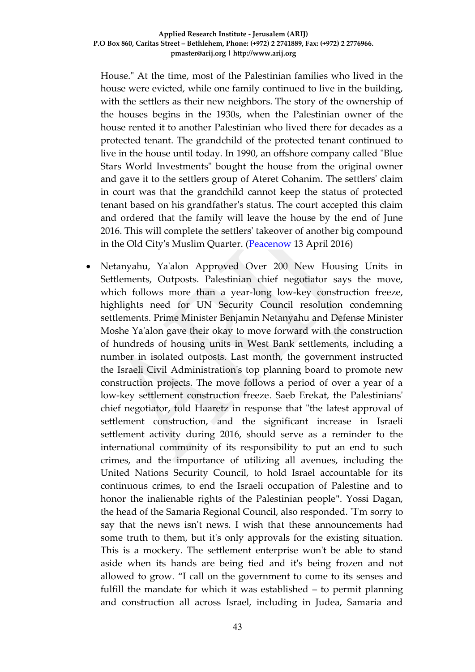House." At the time, most of the Palestinian families who lived in the house were evicted, while one family continued to live in the building, with the settlers as their new neighbors. The story of the ownership of the houses begins in the 1930s, when the Palestinian owner of the house rented it to another Palestinian who lived there for decades as a protected tenant. The grandchild of the protected tenant continued to live in the house until today. In 1990, an offshore company called "Blue Stars World Investments" bought the house from the original owner and gave it to the settlers group of Ateret Cohanim. The settlers' claim in court was that the grandchild cannot keep the status of protected tenant based on his grandfather's status. The court accepted this claim and ordered that the family will leave the house by the end of June 2016. This will complete the settlers' takeover of another big compound in the Old City's Muslim Quarter. [\(Peacenow](https://settlementwatcheastjerusalem.wordpress.com/2010/07/30/oldcityhouse/) 13 April 2016)

 Netanyahu, Ya'alon Approved Over 200 New Housing Units in Settlements, Outposts. Palestinian chief negotiator says the move, which follows more than a year-long low-key construction freeze, highlights need for UN Security Council resolution condemning settlements. Prime Minister Benjamin Netanyahu and Defense Minister Moshe Ya'alon gave their okay to move forward with the construction of hundreds of housing units in West Bank settlements, including a number in isolated outposts. Last month, the government instructed the Israeli Civil Administration's top planning board to promote new construction projects. The move follows a period of over a year of a low-key settlement construction freeze. Saeb Erekat, the Palestinians' chief negotiator, told Haaretz in response that "the latest approval of settlement construction, and the significant increase in Israeli settlement activity during 2016, should serve as a reminder to the international community of its responsibility to put an end to such crimes, and the importance of utilizing all avenues, including the United Nations Security Council, to hold Israel accountable for its continuous crimes, to end the Israeli occupation of Palestine and to honor the inalienable rights of the Palestinian people". Yossi Dagan, the head of the Samaria Regional Council, also responded. "I'm sorry to say that the news isn't news. I wish that these announcements had some truth to them, but it's only approvals for the existing situation. This is a mockery. The settlement enterprise won't be able to stand aside when its hands are being tied and it's being frozen and not allowed to grow. "I call on the government to come to its senses and fulfill the mandate for which it was established – to permit planning and construction all across Israel, including in Judea, Samaria and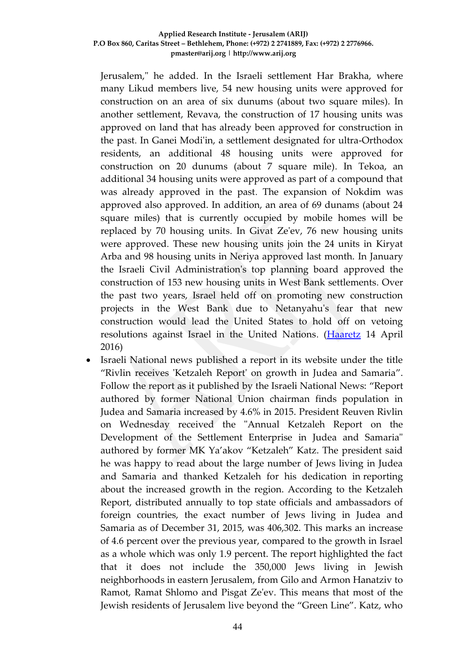Jerusalem," he added. In the Israeli settlement Har Brakha, where many Likud members live, 54 new housing units were approved for construction on an area of six dunums (about two square miles). In another settlement, Revava, the construction of 17 housing units was approved on land that has already been approved for construction in the past. In Ganei Modi'in, a settlement designated for ultra-Orthodox residents, an additional 48 housing units were approved for construction on 20 dunums (about 7 square mile). In Tekoa, an additional 34 housing units were approved as part of a compound that was already approved in the past. The expansion of Nokdim was approved also approved. In addition, an area of 69 dunams (about 24 square miles) that is currently occupied by mobile homes will be replaced by 70 housing units. In Givat Ze'ev, 76 new housing units were approved. These new housing units join the 24 units in Kiryat Arba and 98 housing units in Neriya approved last month. In January the Israeli Civil Administration's top planning board approved the construction of 153 new housing units in West Bank settlements. Over the past two years, Israel held off on promoting new construction projects in the West Bank due to Netanyahu's fear that new construction would lead the United States to hold off on vetoing resolutions against Israel in the United Nations. [\(Haaretz](http://www.haaretz.com/israel-news/.premium-1.714265) 14 April 2016)

 Israeli National news published a report in its website under the title "Rivlin receives 'Ketzaleh Report' on growth in Judea and Samaria". Follow the report as it published by the Israeli National News: "Report authored by former National Union chairman finds population in Judea and Samaria increased by 4.6% in 2015. President Reuven Rivlin on Wednesday received the "Annual Ketzaleh Report on the Development of the Settlement Enterprise in Judea and Samaria" authored by former MK Ya'akov "Ketzaleh" Katz. The president said he was happy to read about the large number of Jews living in Judea and Samaria and thanked Ketzaleh for his dedication in reporting about the increased growth in the region. According to the Ketzaleh Report, distributed annually to top state officials and ambassadors of foreign countries, the exact number of Jews living in Judea and Samaria as of December 31, 2015, was 406,302. This marks an increase of 4.6 percent over the previous year, compared to the growth in Israel as a whole which was only 1.9 percent. The report highlighted the fact that it does not include the 350,000 Jews living in Jewish neighborhoods in eastern Jerusalem, from Gilo and Armon Hanatziv to Ramot, Ramat Shlomo and Pisgat Ze'ev. This means that most of the Jewish residents of Jerusalem live beyond the "Green Line". Katz, who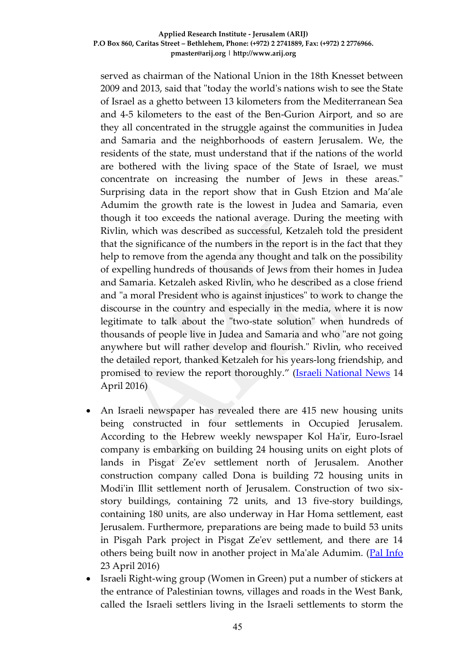served as chairman of the National Union in the 18th Knesset between 2009 and 2013, said that "today the world's nations wish to see the State of Israel as a ghetto between 13 kilometers from the Mediterranean Sea and 4-5 kilometers to the east of the Ben-Gurion Airport, and so are they all concentrated in the struggle against the communities in Judea and Samaria and the neighborhoods of eastern Jerusalem. We, the residents of the state, must understand that if the nations of the world are bothered with the living space of the State of Israel, we must concentrate on increasing the number of Jews in these areas." Surprising data in the report show that in Gush Etzion and Ma'ale Adumim the growth rate is the lowest in Judea and Samaria, even though it too exceeds the national average. During the meeting with Rivlin, which was described as successful, Ketzaleh told the president that the significance of the numbers in the report is in the fact that they help to remove from the agenda any thought and talk on the possibility of expelling hundreds of thousands of Jews from their homes in Judea and Samaria. Ketzaleh asked Rivlin, who he described as a close friend and "a moral President who is against injustices" to work to change the discourse in the country and especially in the media, where it is now legitimate to talk about the "two-state solution" when hundreds of thousands of people live in Judea and Samaria and who "are not going anywhere but will rather develop and flourish." Rivlin, who received the detailed report, thanked Ketzaleh for his years-long friendship, and promised to review the report thoroughly." ([Israeli National News](http://www.israelnationalnews.com/News/News.aspx/208210#.Vw86bvl94dV) 14 April 2016)

- An Israeli newspaper has revealed there are 415 new housing units being constructed in four settlements in Occupied Jerusalem. According to the Hebrew weekly newspaper Kol Ha'ir, Euro-Israel company is embarking on building 24 housing units on eight plots of lands in Pisgat Ze'ev settlement north of Jerusalem. Another construction company called Dona is building 72 housing units in Modi'in Illit settlement north of Jerusalem. Construction of two sixstory buildings, containing 72 units, and 13 five-story buildings, containing 180 units, are also underway in Har Homa settlement, east Jerusalem. Furthermore, preparations are being made to build 53 units in Pisgah Park project in Pisgat Ze'ev settlement, and there are 14 others being built now in another project in Ma'ale Adumim. [\(Pal Info](http://english.palinfo.com/site/pages/details.aspx?itemid=78162) 23 April 2016)
- Israeli Right-wing group (Women in Green) put a number of stickers at the entrance of Palestinian towns, villages and roads in the West Bank, called the Israeli settlers living in the Israeli settlements to storm the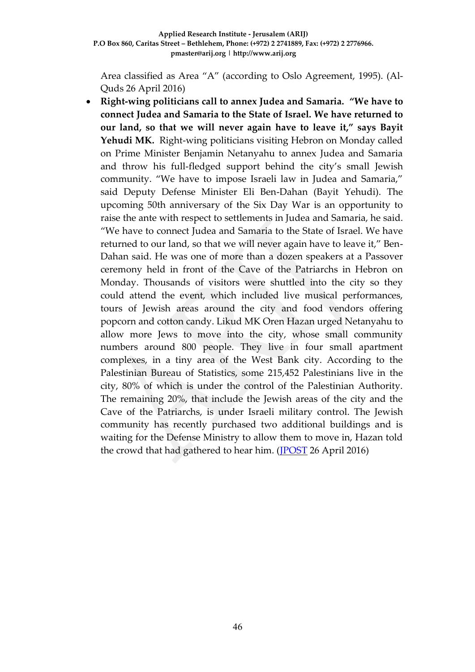Area classified as Area "A" (according to Oslo Agreement, 1995). (Al-Quds 26 April 2016)

 **Right-wing politicians call to annex Judea and Samaria. "We have to connect Judea and Samaria to the State of Israel. We have returned to our land, so that we will never again have to leave it," says Bayit**  Yehudi MK. Right-wing politicians visiting Hebron on Monday called on Prime Minister Benjamin Netanyahu to annex Judea and Samaria and throw his full-fledged support behind the city's small Jewish community. "We have to impose Israeli law in Judea and Samaria," said Deputy Defense Minister Eli Ben-Dahan (Bayit Yehudi). The upcoming 50th anniversary of the Six Day War is an opportunity to raise the ante with respect to settlements in Judea and Samaria, he said. "We have to connect Judea and Samaria to the State of Israel. We have returned to our land, so that we will never again have to leave it," Ben-Dahan said. He was one of more than a dozen speakers at a Passover ceremony held in front of the Cave of the Patriarchs in Hebron on Monday. Thousands of visitors were shuttled into the city so they could attend the event, which included live musical performances, tours of Jewish areas around the city and food vendors offering popcorn and cotton candy. Likud MK Oren Hazan urged Netanyahu to allow more Jews to move into the city, whose small community numbers around 800 people. They live in four small apartment complexes, in a tiny area of the West Bank city. According to the Palestinian Bureau of Statistics, some 215,452 Palestinians live in the city, 80% of which is under the control of the Palestinian Authority. The remaining 20%, that include the Jewish areas of the city and the Cave of the Patriarchs, is under Israeli military control. The Jewish community has recently purchased two additional buildings and is waiting for the Defense Ministry to allow them to move in, Hazan told the crowd that had gathered to hear him. [\(JPOST](http://www.jpost.com/Arab-Israeli-Conflict/Right-wing-politicians-call-to-annex-Judea-and-Samaria-452305) 26 April 2016)